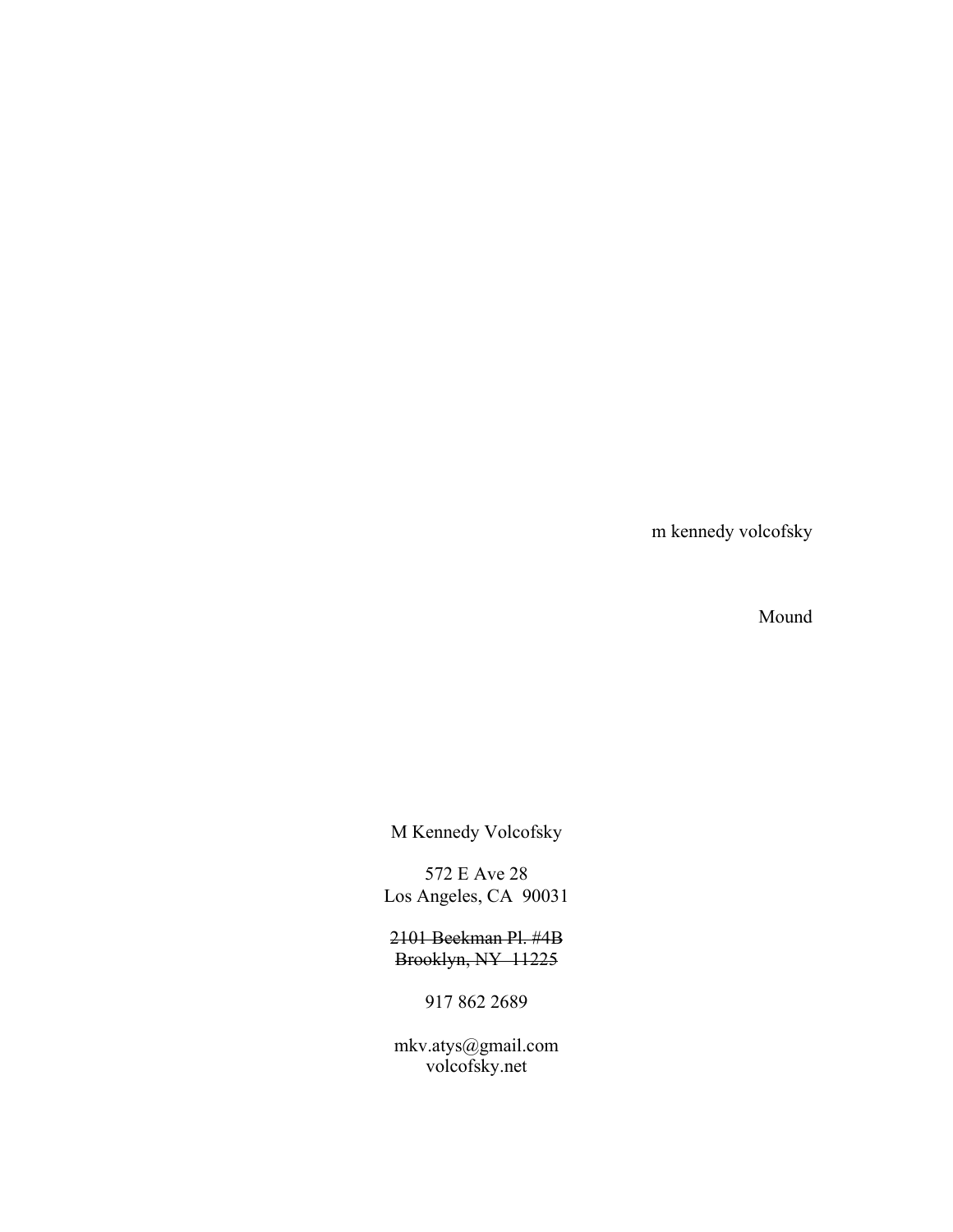m kennedy volcofsky

Mound

M Kennedy Volcofsky

572 E Ave 28 Los Angeles, CA 90031

2101 Beekman Pl. #4B Brooklyn, NY 11225

917 862 2689

mkv.atys@gmail.com volcofsky.net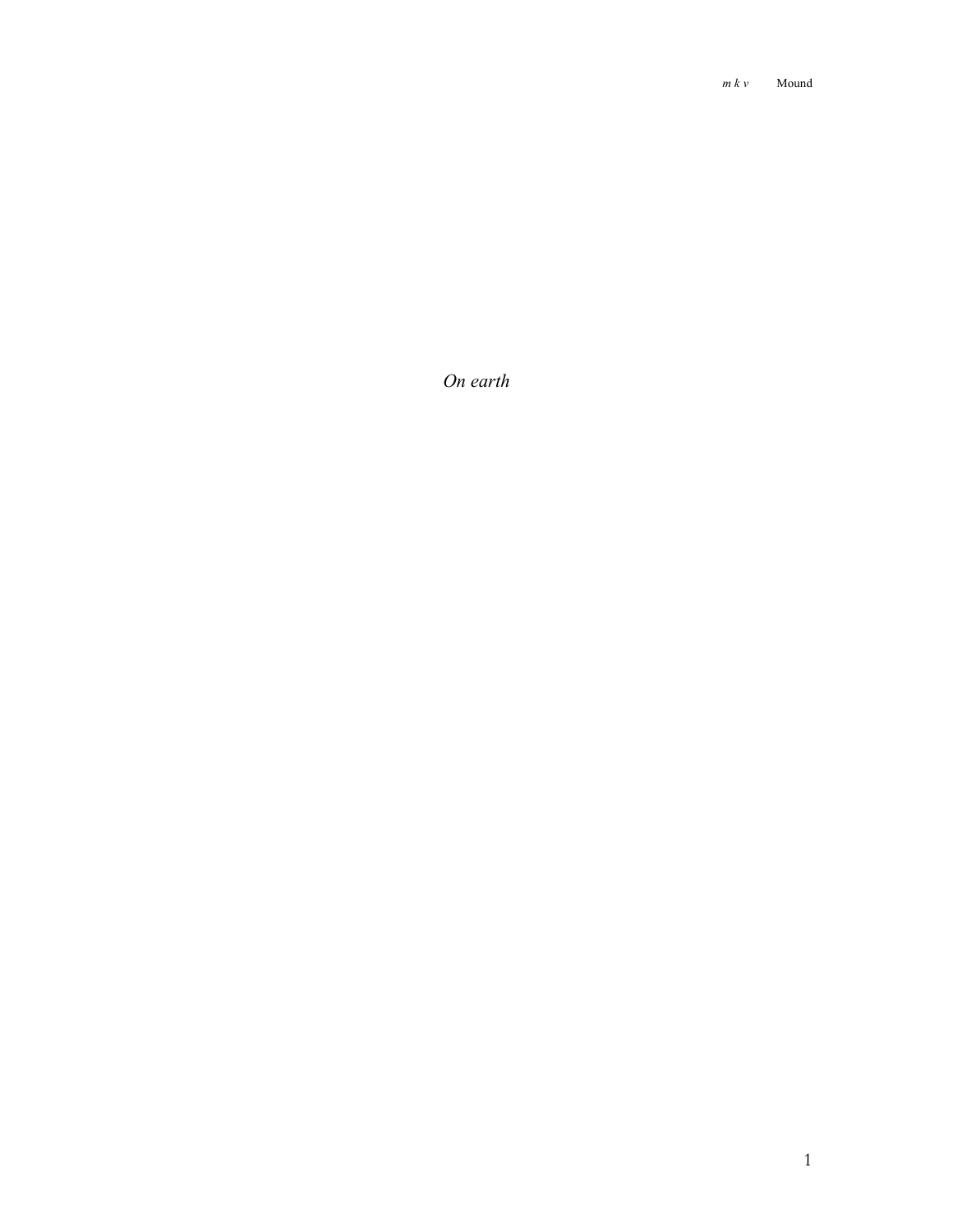*On earth*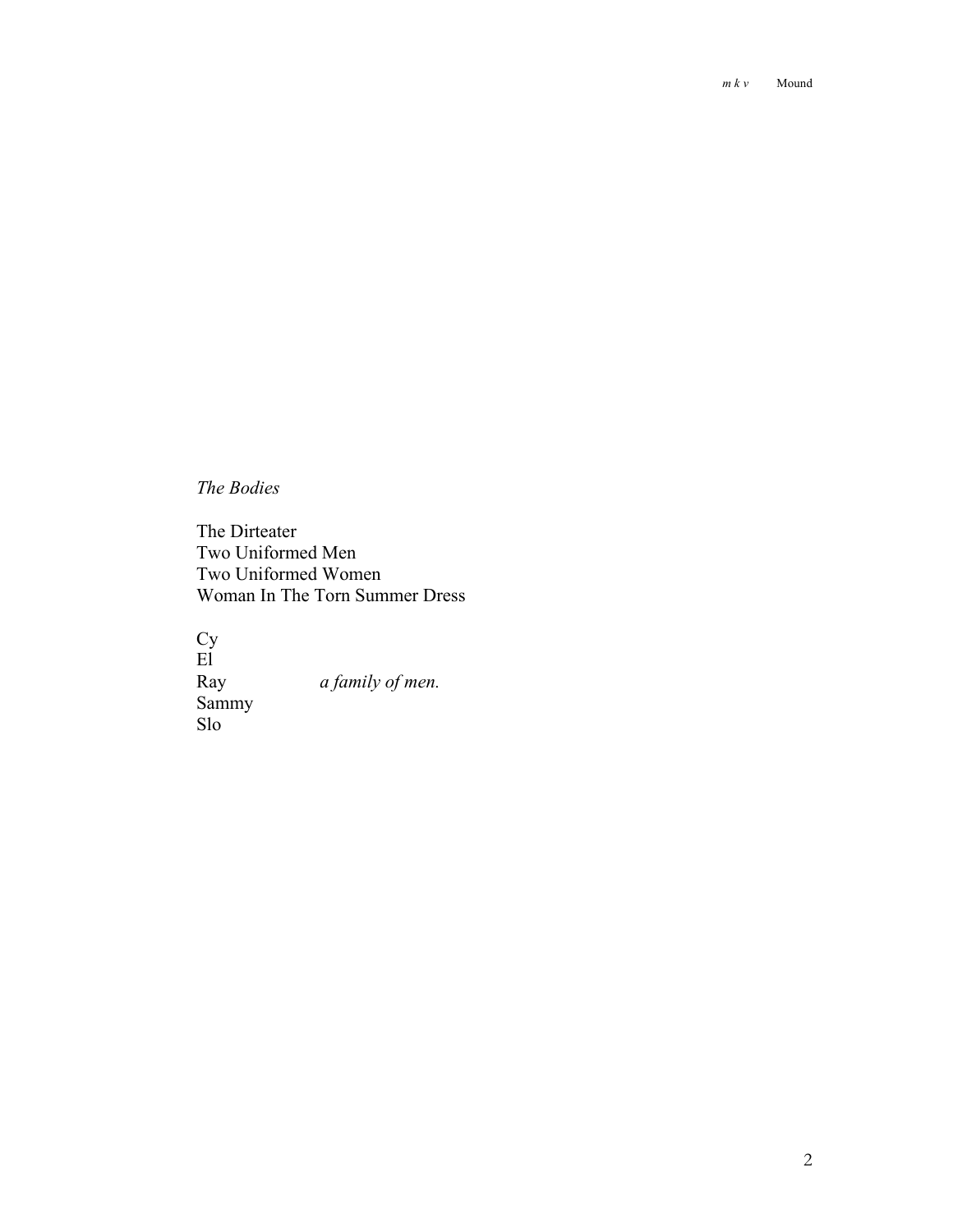*The Bodies*

The Dirteater Two Uniformed Men Two Uniformed Women Woman In The Torn Summer Dress

Cy El<br>Ray a family of men. Sammy Slo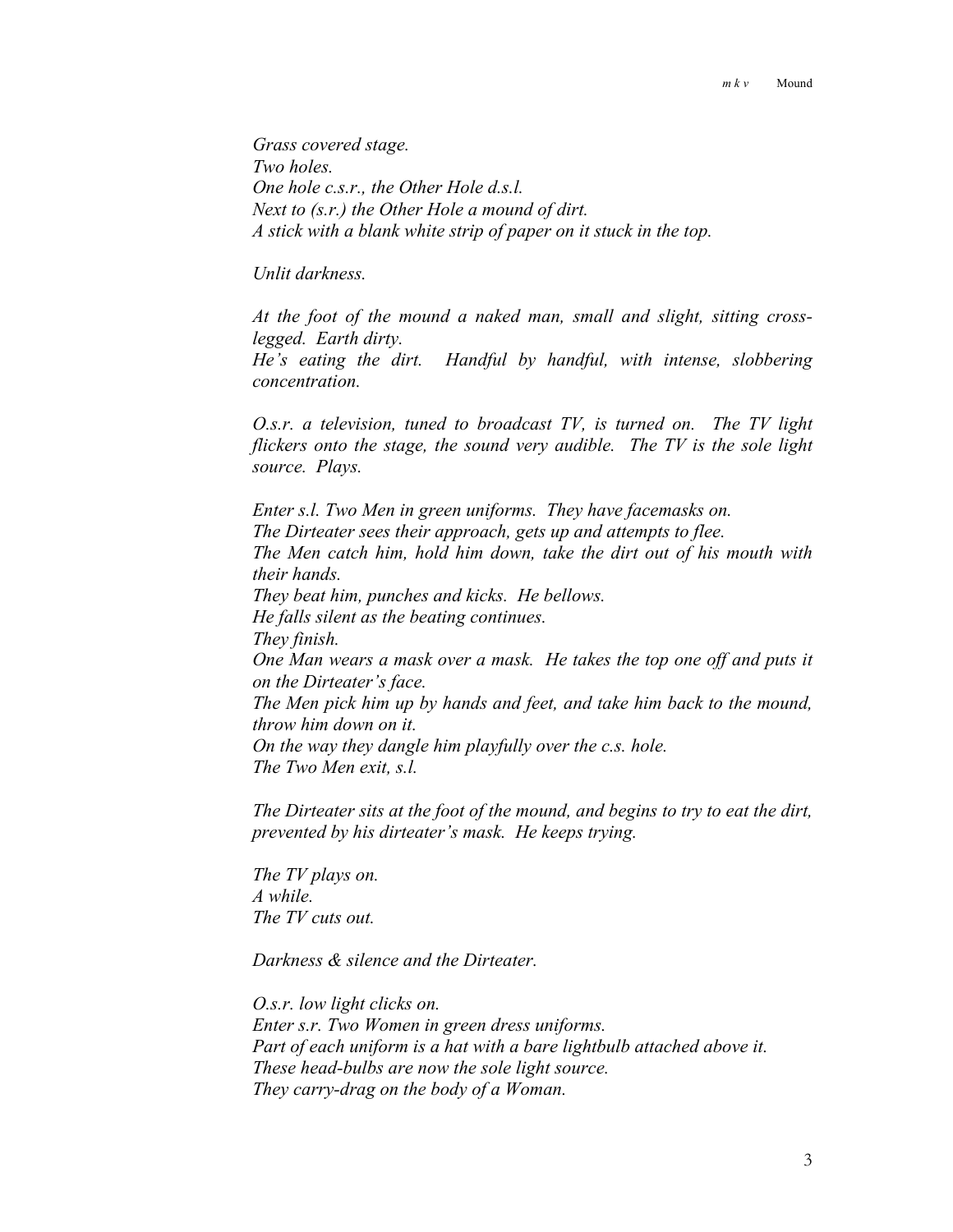*Grass covered stage. Two holes. One hole c.s.r., the Other Hole d.s.l. Next to (s.r.) the Other Hole a mound of dirt. A stick with a blank white strip of paper on it stuck in the top.*

## *Unlit darkness.*

*concentration.*

*At the foot of the mound a naked man, small and slight, sitting crosslegged. Earth dirty. He's eating the dirt. Handful by handful, with intense, slobbering* 

*O.s.r. a television, tuned to broadcast TV, is turned on. The TV light flickers onto the stage, the sound very audible. The TV is the sole light source. Plays.*

*Enter s.l. Two Men in green uniforms. They have facemasks on. The Dirteater sees their approach, gets up and attempts to flee. The Men catch him, hold him down, take the dirt out of his mouth with their hands. They beat him, punches and kicks. He bellows. He falls silent as the beating continues. They finish. One Man wears a mask over a mask. He takes the top one off and puts it on the Dirteater's face. The Men pick him up by hands and feet, and take him back to the mound, throw him down on it. On the way they dangle him playfully over the c.s. hole. The Two Men exit, s.l.*

*The Dirteater sits at the foot of the mound, and begins to try to eat the dirt, prevented by his dirteater's mask. He keeps trying.*

*The TV plays on. A while. The TV cuts out.*

*Darkness & silence and the Dirteater.*

*O.s.r. low light clicks on. Enter s.r. Two Women in green dress uniforms. Part of each uniform is a hat with a bare lightbulb attached above it. These head-bulbs are now the sole light source. They carry-drag on the body of a Woman.*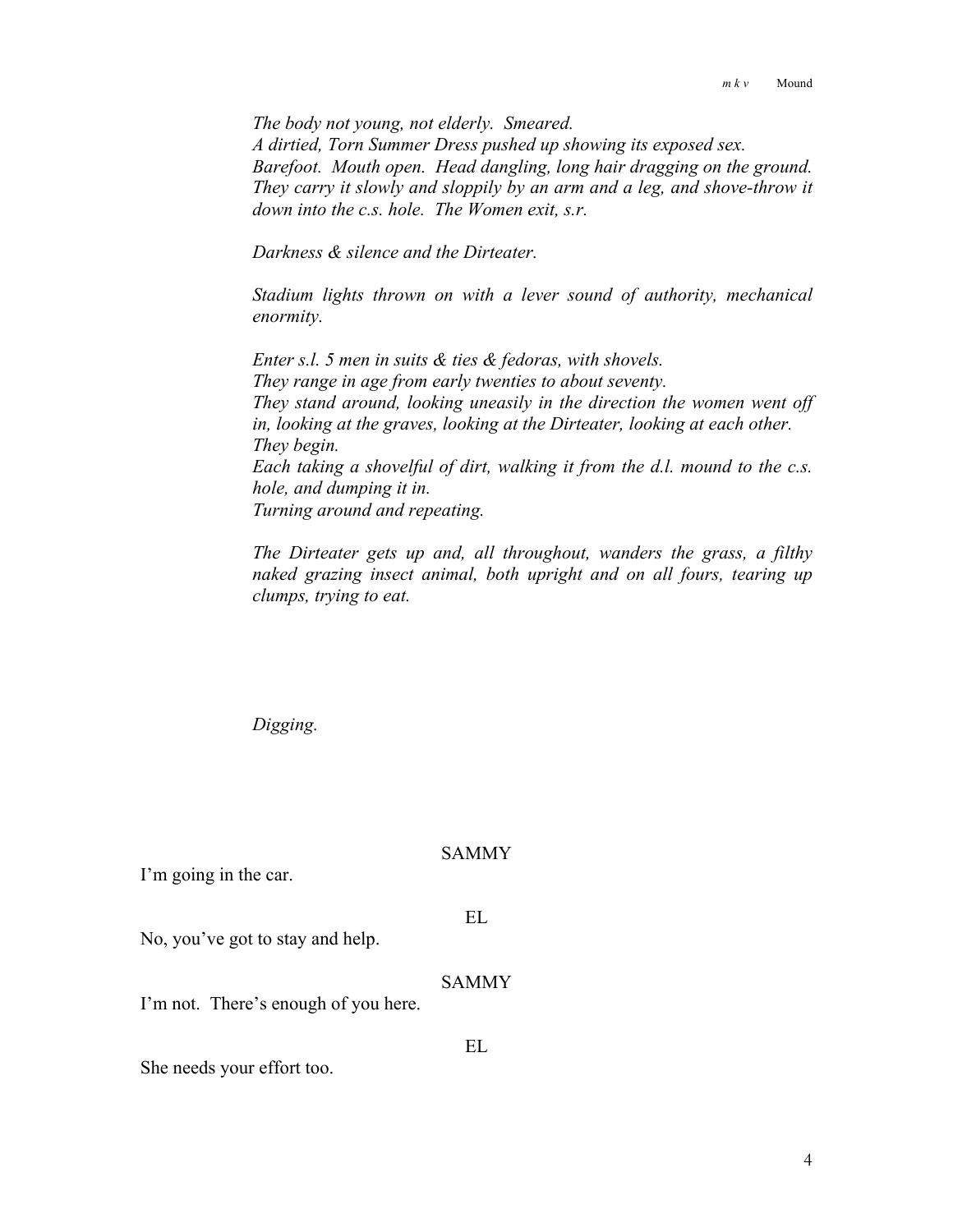*The body not young, not elderly. Smeared. A dirtied, Torn Summer Dress pushed up showing its exposed sex. Barefoot. Mouth open. Head dangling, long hair dragging on the ground. They carry it slowly and sloppily by an arm and a leg, and shove-throw it down into the c.s. hole. The Women exit, s.r.*

*Darkness & silence and the Dirteater.*

*Stadium lights thrown on with a lever sound of authority, mechanical enormity.*

*Enter s.l. 5 men in suits & ties & fedoras, with shovels. They range in age from early twenties to about seventy. They stand around, looking uneasily in the direction the women went off in, looking at the graves, looking at the Dirteater, looking at each other. They begin. Each taking a shovelful of dirt, walking it from the d.l. mound to the c.s. hole, and dumping it in. Turning around and repeating.*

*The Dirteater gets up and, all throughout, wanders the grass, a filthy naked grazing insect animal, both upright and on all fours, tearing up clumps, trying to eat.*

*Digging.*

#### SAMMY

I'm going in the car.

## EL

No, you've got to stay and help.

## SAMMY

I'm not. There's enough of you here.

EL

She needs your effort too.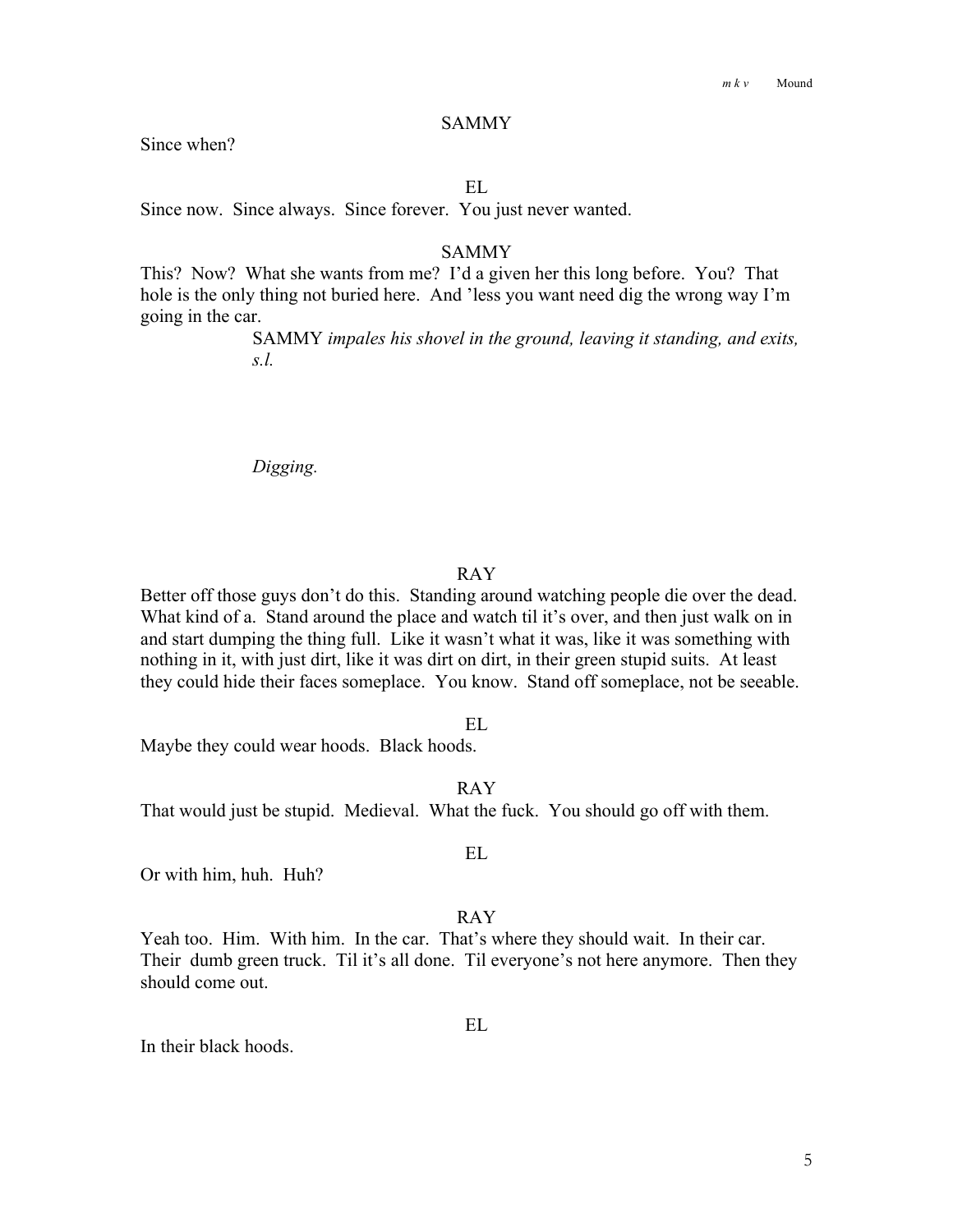## SAMMY

Since when?

EL

Since now. Since always. Since forever. You just never wanted.

### SAMMY

This? Now? What she wants from me? I'd a given her this long before. You? That hole is the only thing not buried here. And 'less you want need dig the wrong way I'm going in the car.

> SAMMY *impales his shovel in the ground, leaving it standing, and exits, s.l.*

*Digging.*

## RAY

Better off those guys don't do this. Standing around watching people die over the dead. What kind of a. Stand around the place and watch til it's over, and then just walk on in and start dumping the thing full. Like it wasn't what it was, like it was something with nothing in it, with just dirt, like it was dirt on dirt, in their green stupid suits. At least they could hide their faces someplace. You know. Stand off someplace, not be seeable.

#### EL

Maybe they could wear hoods. Black hoods.

RAY

EL

That would just be stupid. Medieval. What the fuck. You should go off with them.

Or with him, huh. Huh?

#### RAY

Yeah too. Him. With him. In the car. That's where they should wait. In their car. Their dumb green truck. Til it's all done. Til everyone's not here anymore. Then they should come out.

In their black hoods.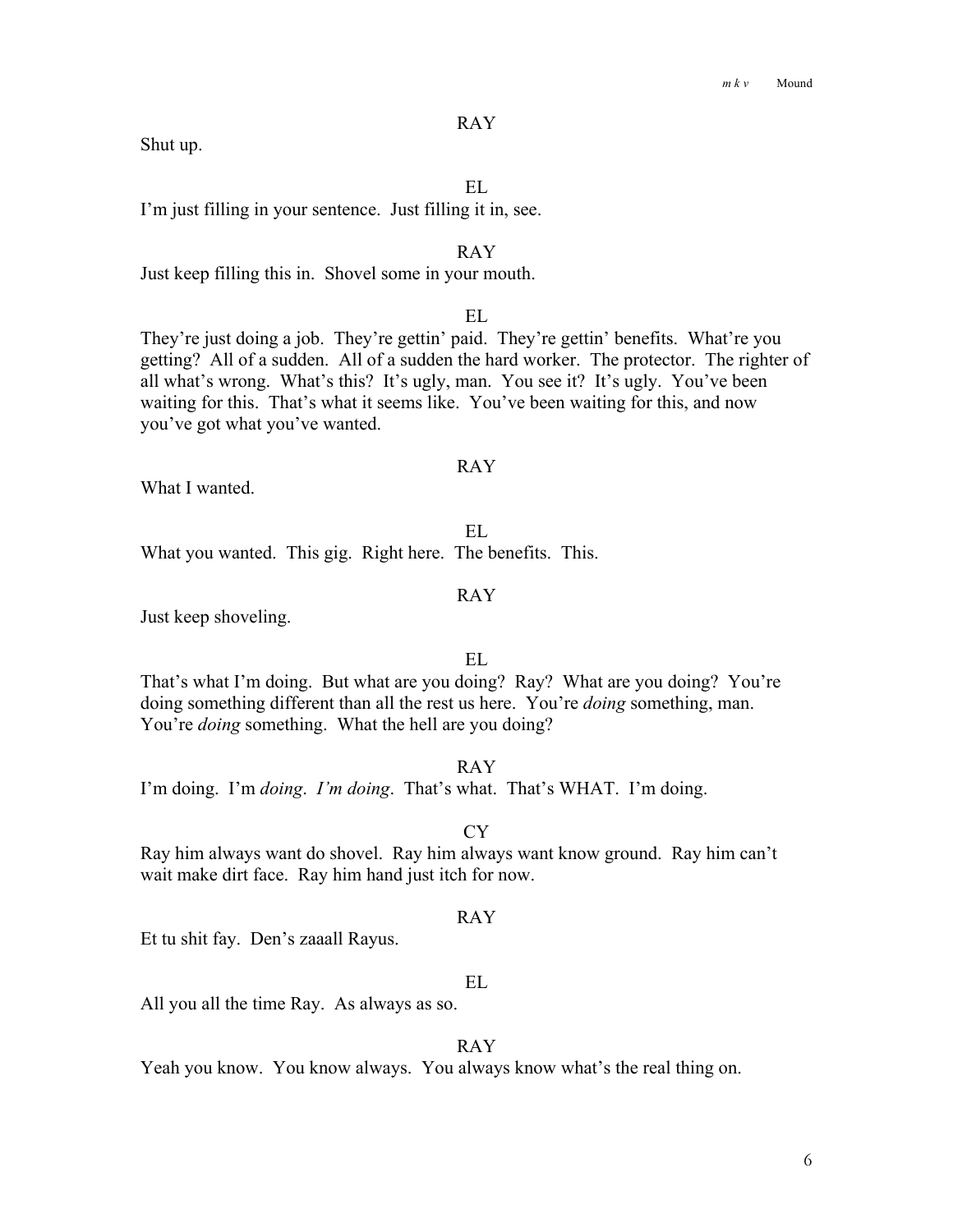6

## RAY

Shut up.

EL

I'm just filling in your sentence. Just filling it in, see.

## RAY

Just keep filling this in. Shovel some in your mouth.

## EL

They're just doing a job. They're gettin' paid. They're gettin' benefits. What're you getting? All of a sudden. All of a sudden the hard worker. The protector. The righter of all what's wrong. What's this? It's ugly, man. You see it? It's ugly. You've been waiting for this. That's what it seems like. You've been waiting for this, and now you've got what you've wanted.

## RAY

What I wanted.

EL What you wanted. This gig. Right here. The benefits. This.

## RAY

Just keep shoveling.

## EL

That's what I'm doing. But what are you doing? Ray? What are you doing? You're doing something different than all the rest us here. You're *doing* something, man. You're *doing* something. What the hell are you doing?

#### RAY

I'm doing. I'm *doing*. *I'm doing*. That's what. That's WHAT. I'm doing.

# CY

Ray him always want do shovel. Ray him always want know ground. Ray him can't wait make dirt face. Ray him hand just itch for now.

## RAY

Et tu shit fay. Den's zaaall Rayus.

#### EL

All you all the time Ray. As always as so.

## RAY

Yeah you know. You know always. You always know what's the real thing on.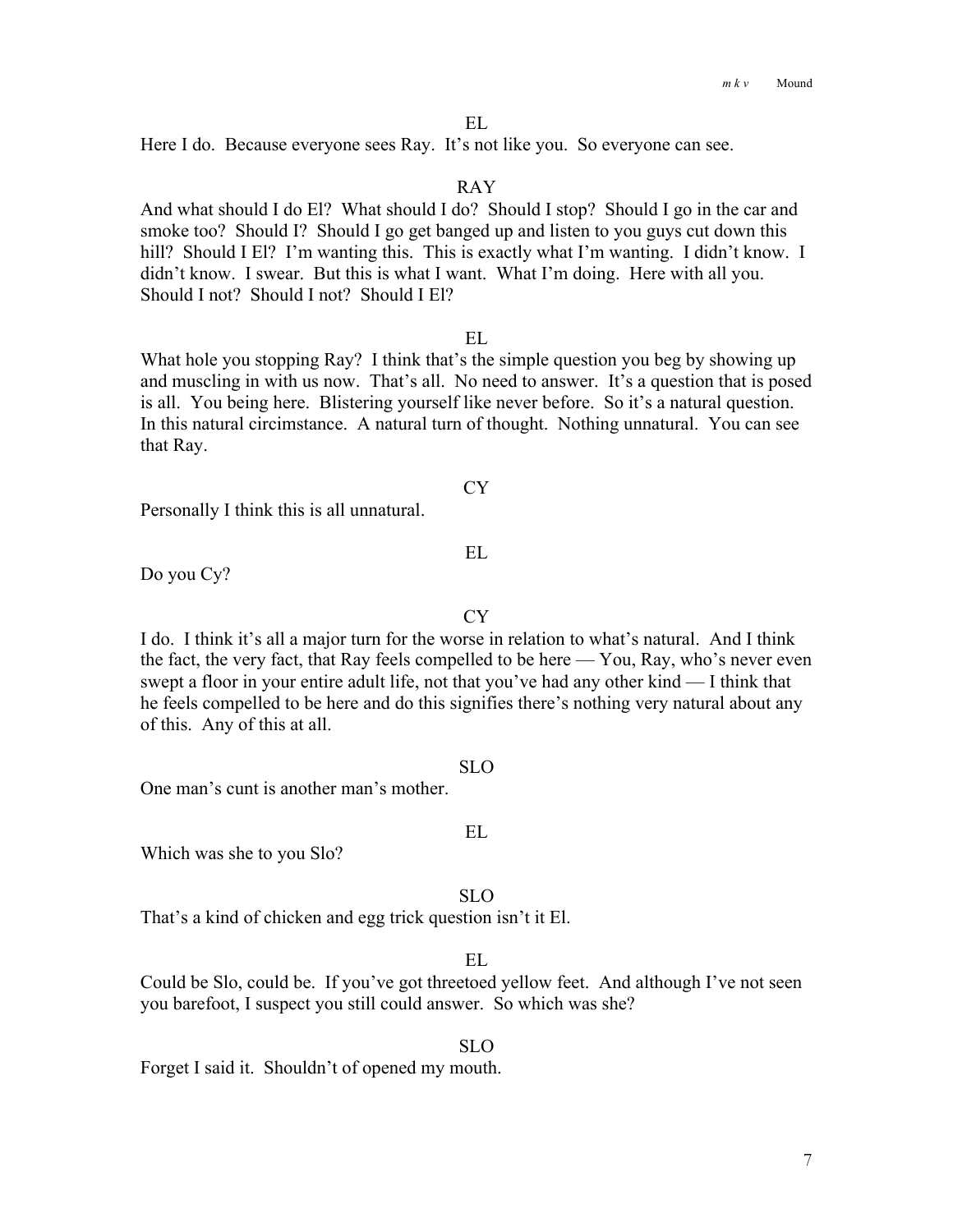7

## EL

Here I do. Because everyone sees Ray. It's not like you. So everyone can see.

#### RAY

And what should I do El? What should I do? Should I stop? Should I go in the car and smoke too? Should I? Should I go get banged up and listen to you guys cut down this hill? Should I El? I'm wanting this. This is exactly what I'm wanting. I didn't know. I didn't know. I swear. But this is what I want. What I'm doing. Here with all you. Should I not? Should I not? Should I El?

#### EL

What hole you stopping Ray? I think that's the simple question you beg by showing up and muscling in with us now. That's all. No need to answer. It's a question that is posed is all. You being here. Blistering yourself like never before. So it's a natural question. In this natural circimstance. A natural turn of thought. Nothing unnatural. You can see that Ray.

## CY

Personally I think this is all unnatural.

#### EL

Do you Cy?

### CY

I do. I think it's all a major turn for the worse in relation to what's natural. And I think the fact, the very fact, that Ray feels compelled to be here — You, Ray, who's never even swept a floor in your entire adult life, not that you've had any other kind — I think that he feels compelled to be here and do this signifies there's nothing very natural about any of this. Any of this at all.

#### SLO

One man's cunt is another man's mother.

# Which was she to you Slo?

#### SLO

EL

That's a kind of chicken and egg trick question isn't it El.

#### EL

Could be Slo, could be. If you've got threetoed yellow feet. And although I've not seen you barefoot, I suspect you still could answer. So which was she?

#### SLO

Forget I said it. Shouldn't of opened my mouth.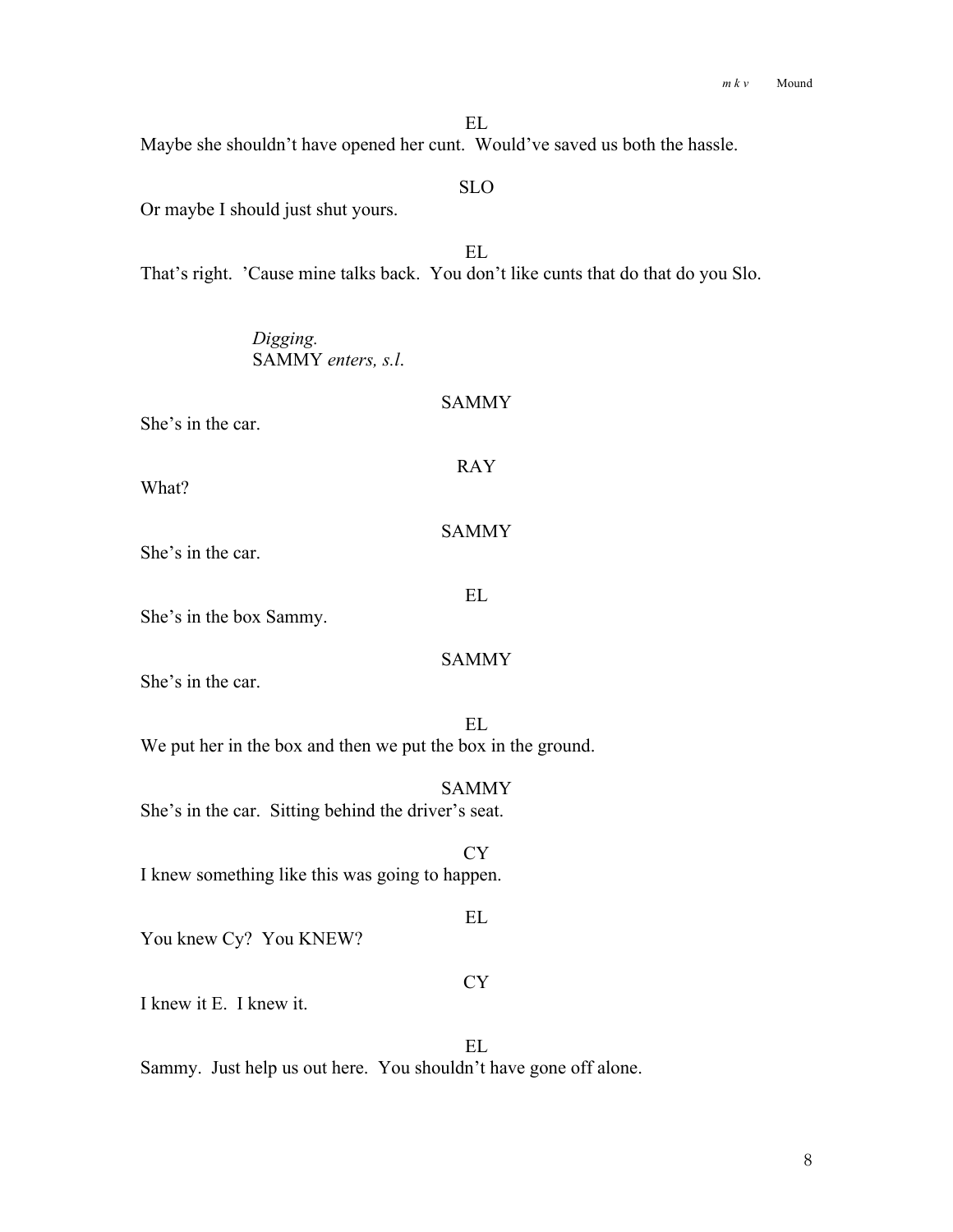EL Maybe she shouldn't have opened her cunt. Would've saved us both the hassle.

## SLO

Or maybe I should just shut yours.

EL That's right. 'Cause mine talks back. You don't like cunts that do that do you Slo.

> *Digging.* SAMMY *enters, s.l*.

## SAMMY

RAY

**SAMMY** 

She's in the car.

What?

She's in the car.

She's in the box Sammy.

## SAMMY

EL

She's in the car.

EL We put her in the box and then we put the box in the ground.

## SAMMY

She's in the car. Sitting behind the driver's seat.

CY I knew something like this was going to happen.

You knew Cy? You KNEW?

#### CY

EL

I knew it E. I knew it.

EL Sammy. Just help us out here. You shouldn't have gone off alone.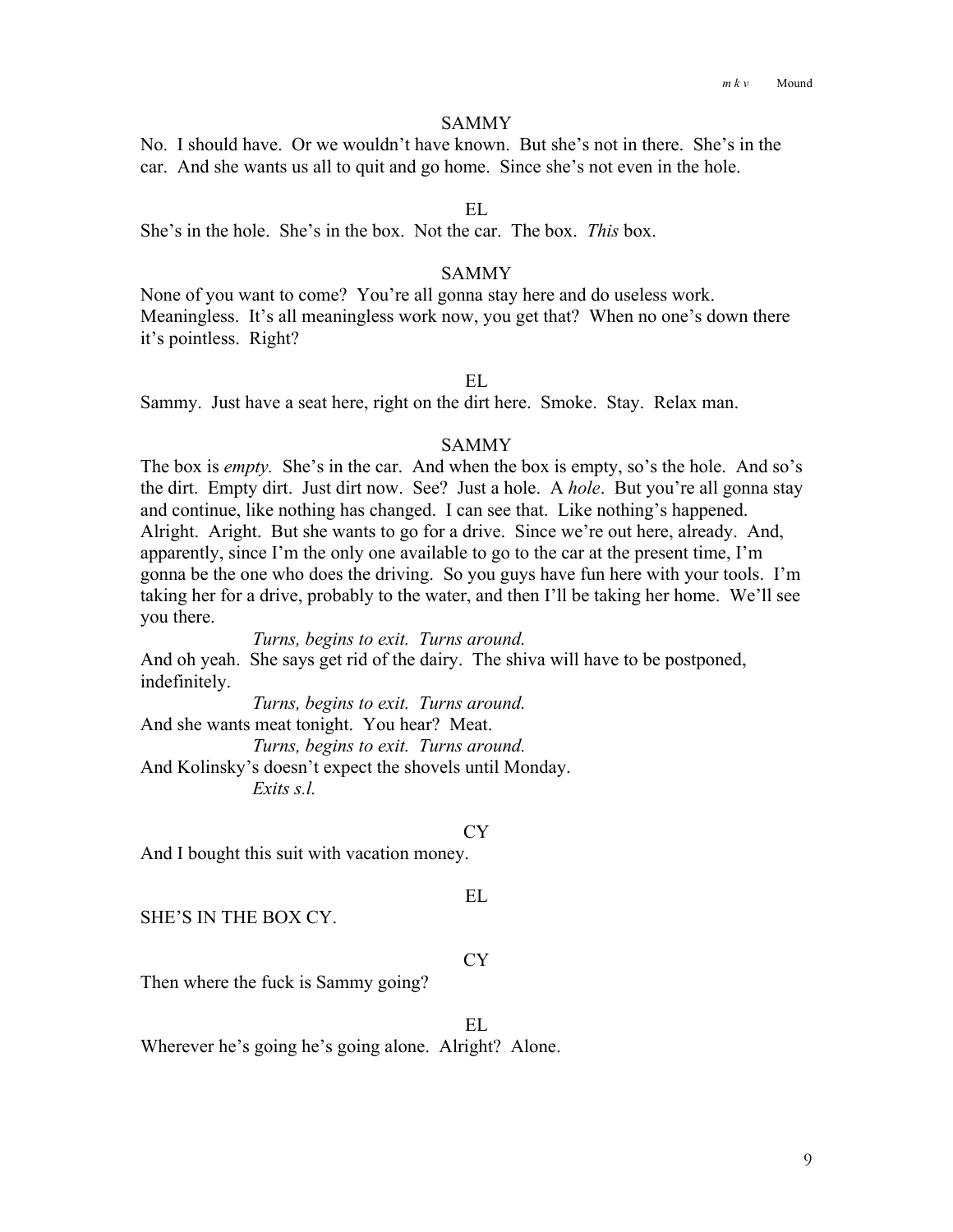#### SAMMY

No. I should have. Or we wouldn't have known. But she's not in there. She's in the car. And she wants us all to quit and go home. Since she's not even in the hole.

EL

She's in the hole. She's in the box. Not the car. The box. *This* box.

## SAMMY

None of you want to come? You're all gonna stay here and do useless work. Meaningless. It's all meaningless work now, you get that? When no one's down there it's pointless. Right?

EL

Sammy. Just have a seat here, right on the dirt here. Smoke. Stay. Relax man.

#### SAMMY

The box is *empty*. She's in the car. And when the box is empty, so's the hole. And so's the dirt. Empty dirt. Just dirt now. See? Just a hole. A *hole*. But you're all gonna stay and continue, like nothing has changed. I can see that. Like nothing's happened. Alright. Aright. But she wants to go for a drive. Since we're out here, already. And, apparently, since I'm the only one available to go to the car at the present time, I'm gonna be the one who does the driving. So you guys have fun here with your tools. I'm taking her for a drive, probably to the water, and then I'll be taking her home. We'll see you there.

*Turns, begins to exit. Turns around.*  And oh yeah. She says get rid of the dairy. The shiva will have to be postponed, indefinitely. *Turns, begins to exit. Turns around.*

And she wants meat tonight. You hear? Meat. *Turns, begins to exit. Turns around.* And Kolinsky's doesn't expect the shovels until Monday. *Exits s.l.*

CY

And I bought this suit with vacation money.

EL

SHE'S IN THE BOX CY.

## CY

Then where the fuck is Sammy going?

EL

Wherever he's going he's going alone. Alright? Alone.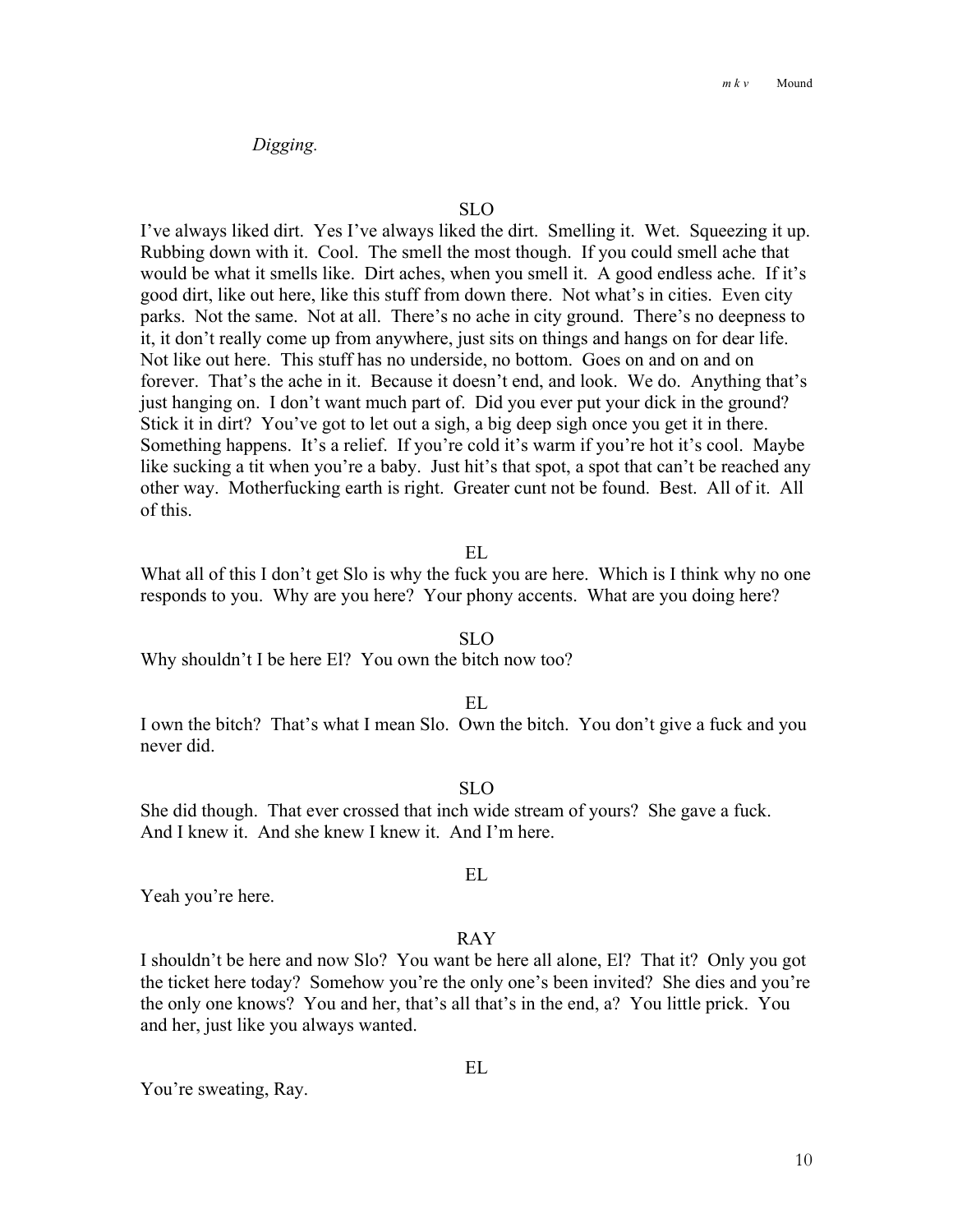## *Digging.*

#### SLO

I've always liked dirt. Yes I've always liked the dirt. Smelling it. Wet. Squeezing it up. Rubbing down with it. Cool. The smell the most though. If you could smell ache that would be what it smells like. Dirt aches, when you smell it. A good endless ache. If it's good dirt, like out here, like this stuff from down there. Not what's in cities. Even city parks. Not the same. Not at all. There's no ache in city ground. There's no deepness to it, it don't really come up from anywhere, just sits on things and hangs on for dear life. Not like out here. This stuff has no underside, no bottom. Goes on and on and on forever. That's the ache in it. Because it doesn't end, and look. We do. Anything that's just hanging on. I don't want much part of. Did you ever put your dick in the ground? Stick it in dirt? You've got to let out a sigh, a big deep sigh once you get it in there. Something happens. It's a relief. If you're cold it's warm if you're hot it's cool. Maybe like sucking a tit when you're a baby. Just hit's that spot, a spot that can't be reached any other way. Motherfucking earth is right. Greater cunt not be found. Best. All of it. All of this.

#### EL

What all of this I don't get Slo is why the fuck you are here. Which is I think why no one responds to you. Why are you here? Your phony accents. What are you doing here?

#### SLO

Why shouldn't I be here El? You own the bitch now too?

#### EL

I own the bitch? That's what I mean Slo. Own the bitch. You don't give a fuck and you never did.

#### SLO

She did though. That ever crossed that inch wide stream of yours? She gave a fuck. And I knew it. And she knew I knew it. And I'm here.

Yeah you're here.

#### RAY

EL

I shouldn't be here and now Slo? You want be here all alone, El? That it? Only you got the ticket here today? Somehow you're the only one's been invited? She dies and you're the only one knows? You and her, that's all that's in the end, a? You little prick. You and her, just like you always wanted.

EL

You're sweating, Ray.

#### 10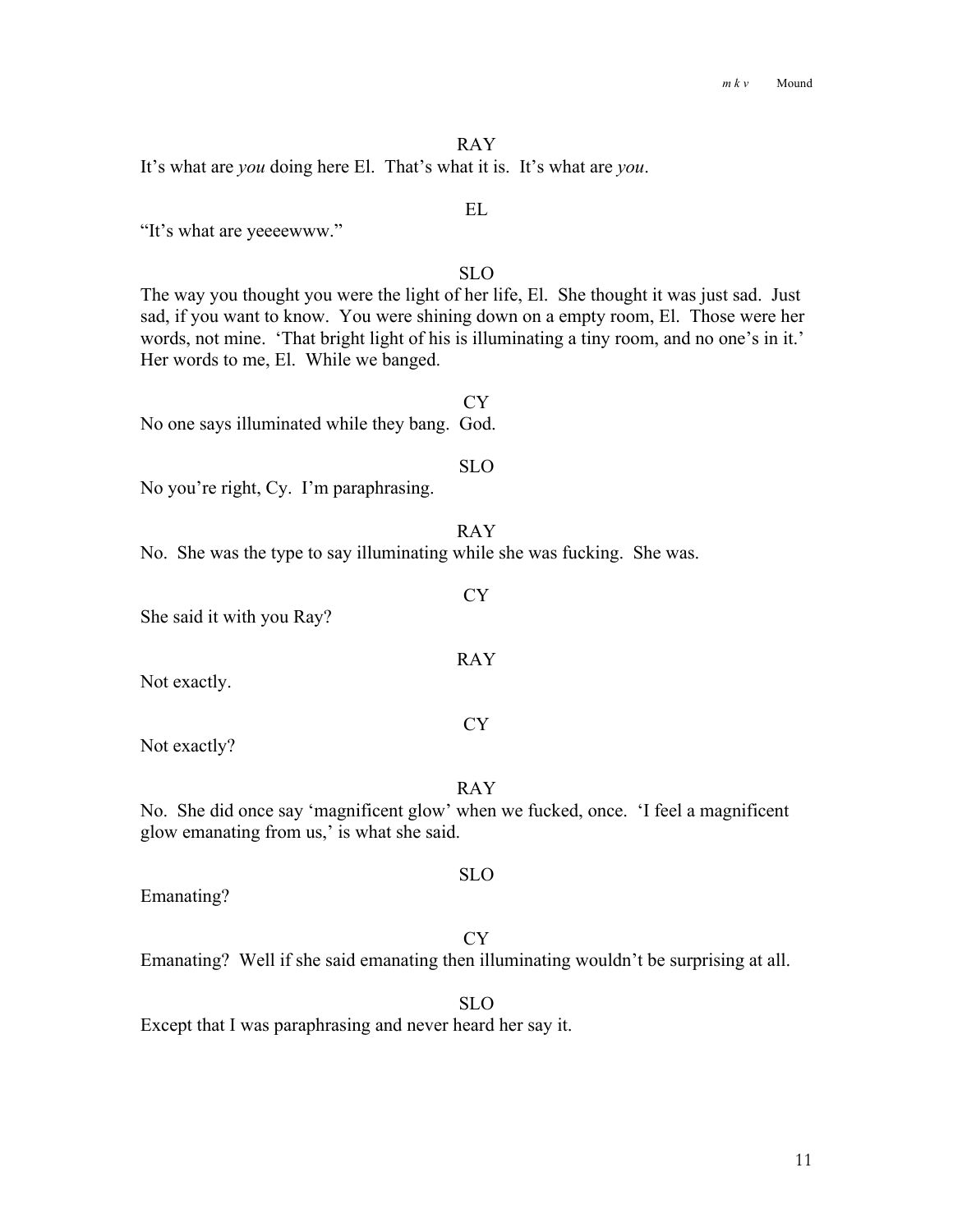11

#### RAY

It's what are *you* doing here El. That's what it is. It's what are *you*.

"It's what are yeeeewww."

SLO The way you thought you were the light of her life, El. She thought it was just sad. Just sad, if you want to know. You were shining down on a empty room, El. Those were her words, not mine. 'That bright light of his is illuminating a tiny room, and no one's in it.' Her words to me, El. While we banged.

No one says illuminated while they bang. God.

No you're right, Cy. I'm paraphrasing.

- No. She was the type to say illuminating while she was fucking. She was.
- CY She said it with you Ray? RAY Not exactly. CY Not exactly?

No. She did once say 'magnificent glow' when we fucked, once. 'I feel a magnificent glow emanating from us,' is what she said.

RAY

SLO

CY

SLO

Emanating?

Emanating? Well if she said emanating then illuminating wouldn't be surprising at all.

Except that I was paraphrasing and never heard her say it.

# EL

CY

SLO

RAY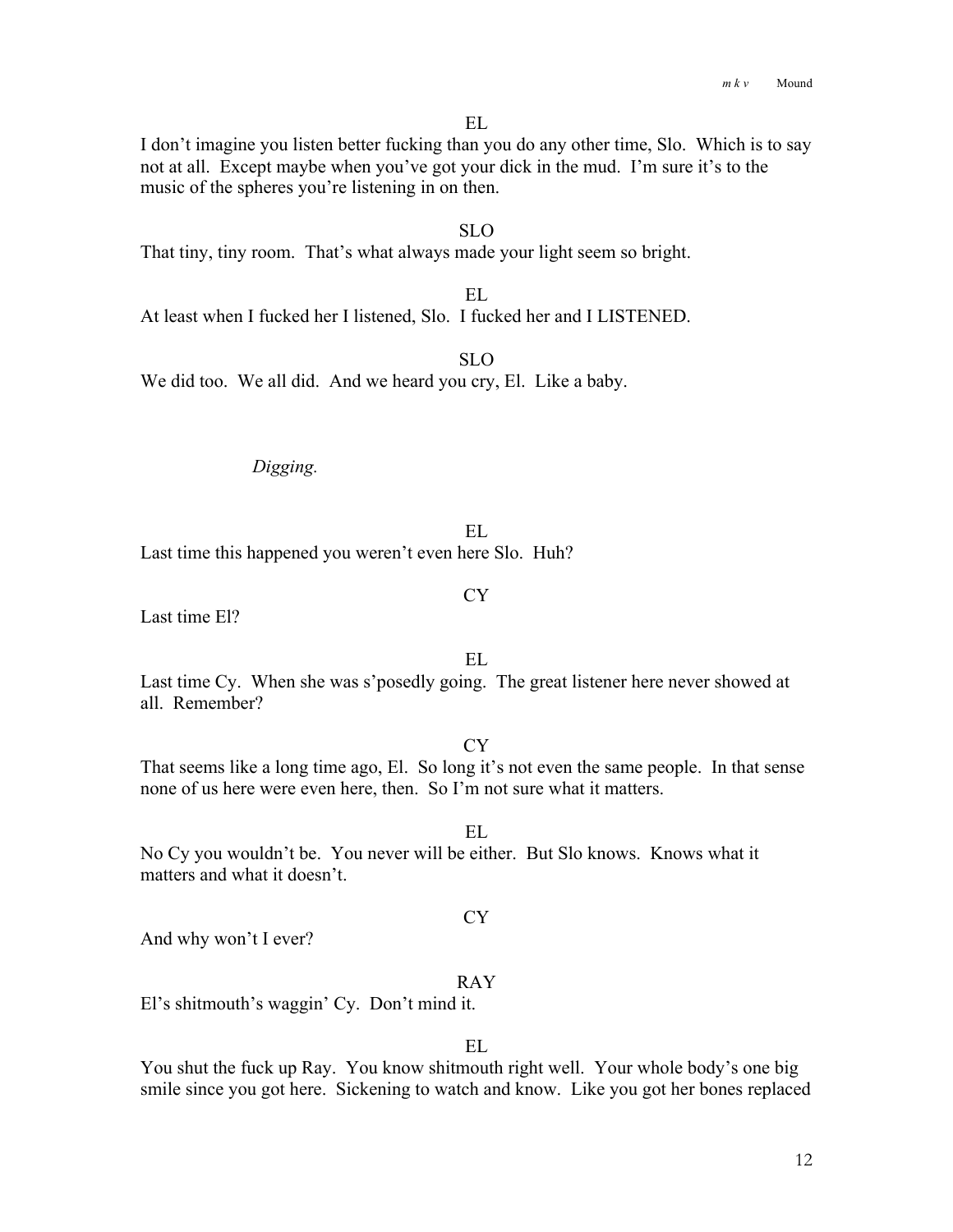EL

I don't imagine you listen better fucking than you do any other time, Slo. Which is to say not at all. Except maybe when you've got your dick in the mud. I'm sure it's to the music of the spheres you're listening in on then.

# SLO

That tiny, tiny room. That's what always made your light seem so bright.

EL

At least when I fucked her I listened, Slo. I fucked her and I LISTENED.

SLO

We did too. We all did. And we heard you cry, El. Like a baby.

*Digging.*

EL Last time this happened you weren't even here Slo. Huh?

#### CY

Last time El?

## EL

Last time Cy. When she was s'posedly going. The great listener here never showed at all. Remember?

## $CY$

That seems like a long time ago, El. So long it's not even the same people. In that sense none of us here were even here, then. So I'm not sure what it matters.

EL

No Cy you wouldn't be. You never will be either. But Slo knows. Knows what it matters and what it doesn't.

And why won't I ever?

### RAY

CY

El's shitmouth's waggin' Cy. Don't mind it.

## EL

You shut the fuck up Ray. You know shitmouth right well. Your whole body's one big smile since you got here. Sickening to watch and know. Like you got her bones replaced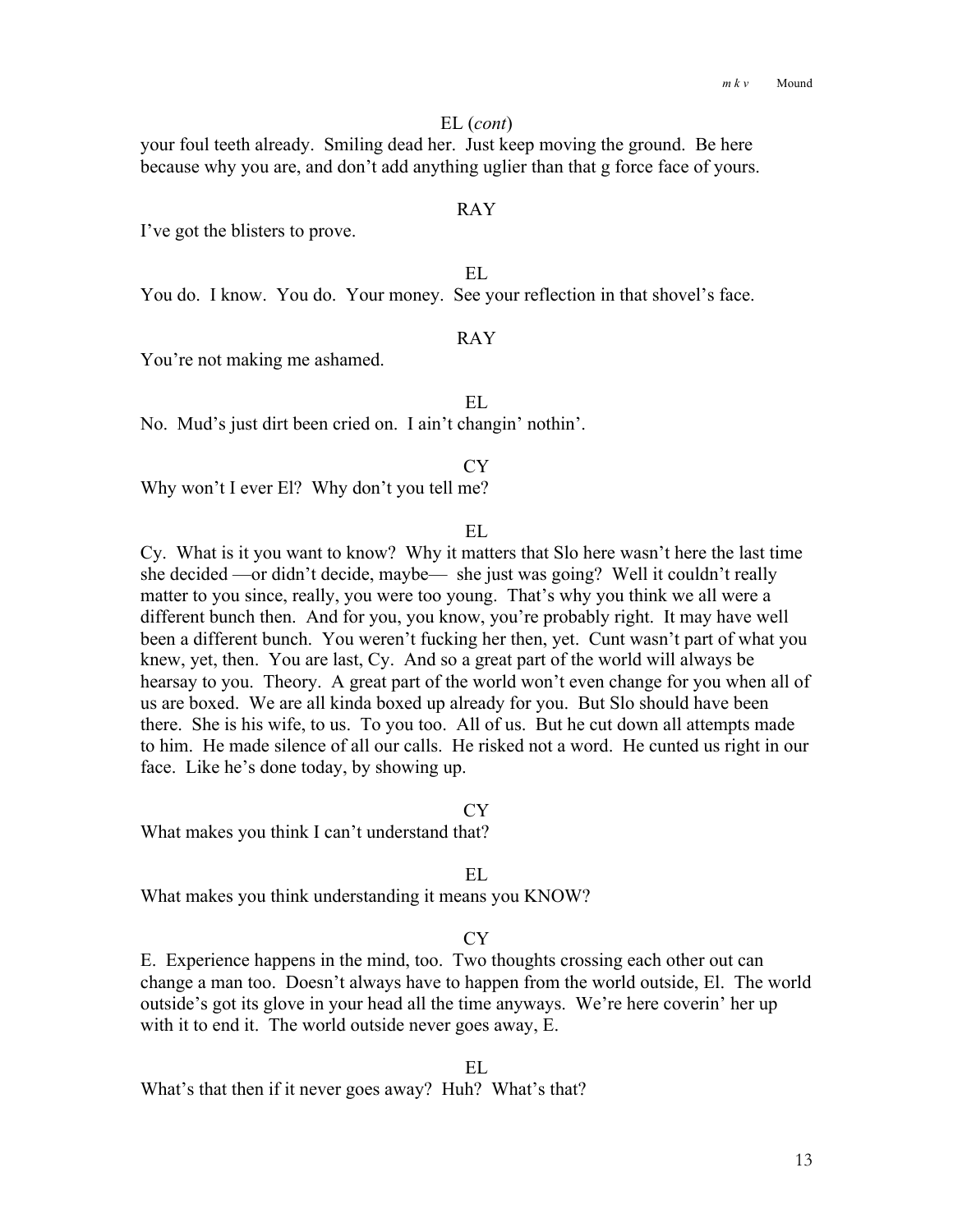#### EL (*cont*)

your foul teeth already. Smiling dead her. Just keep moving the ground. Be here because why you are, and don't add anything uglier than that g force face of yours.

## RAY

I've got the blisters to prove.

EL

You do. I know. You do. Your money. See your reflection in that shovel's face.

## RAY

You're not making me ashamed.

EL

No. Mud's just dirt been cried on. I ain't changin' nothin'.

## CY

Why won't I ever El? Why don't you tell me?

## EL

Cy. What is it you want to know? Why it matters that Slo here wasn't here the last time she decided —or didn't decide, maybe— she just was going? Well it couldn't really matter to you since, really, you were too young. That's why you think we all were a different bunch then. And for you, you know, you're probably right. It may have well been a different bunch. You weren't fucking her then, yet. Cunt wasn't part of what you knew, yet, then. You are last, Cy. And so a great part of the world will always be hearsay to you. Theory. A great part of the world won't even change for you when all of us are boxed. We are all kinda boxed up already for you. But Slo should have been there. She is his wife, to us. To you too. All of us. But he cut down all attempts made to him. He made silence of all our calls. He risked not a word. He cunted us right in our face. Like he's done today, by showing up.

#### CY

What makes you think I can't understand that?

#### EL

What makes you think understanding it means you KNOW?

#### CY

E. Experience happens in the mind, too. Two thoughts crossing each other out can change a man too. Doesn't always have to happen from the world outside, El. The world outside's got its glove in your head all the time anyways. We're here coverin' her up with it to end it. The world outside never goes away, E.

#### EL

What's that then if it never goes away? Huh? What's that?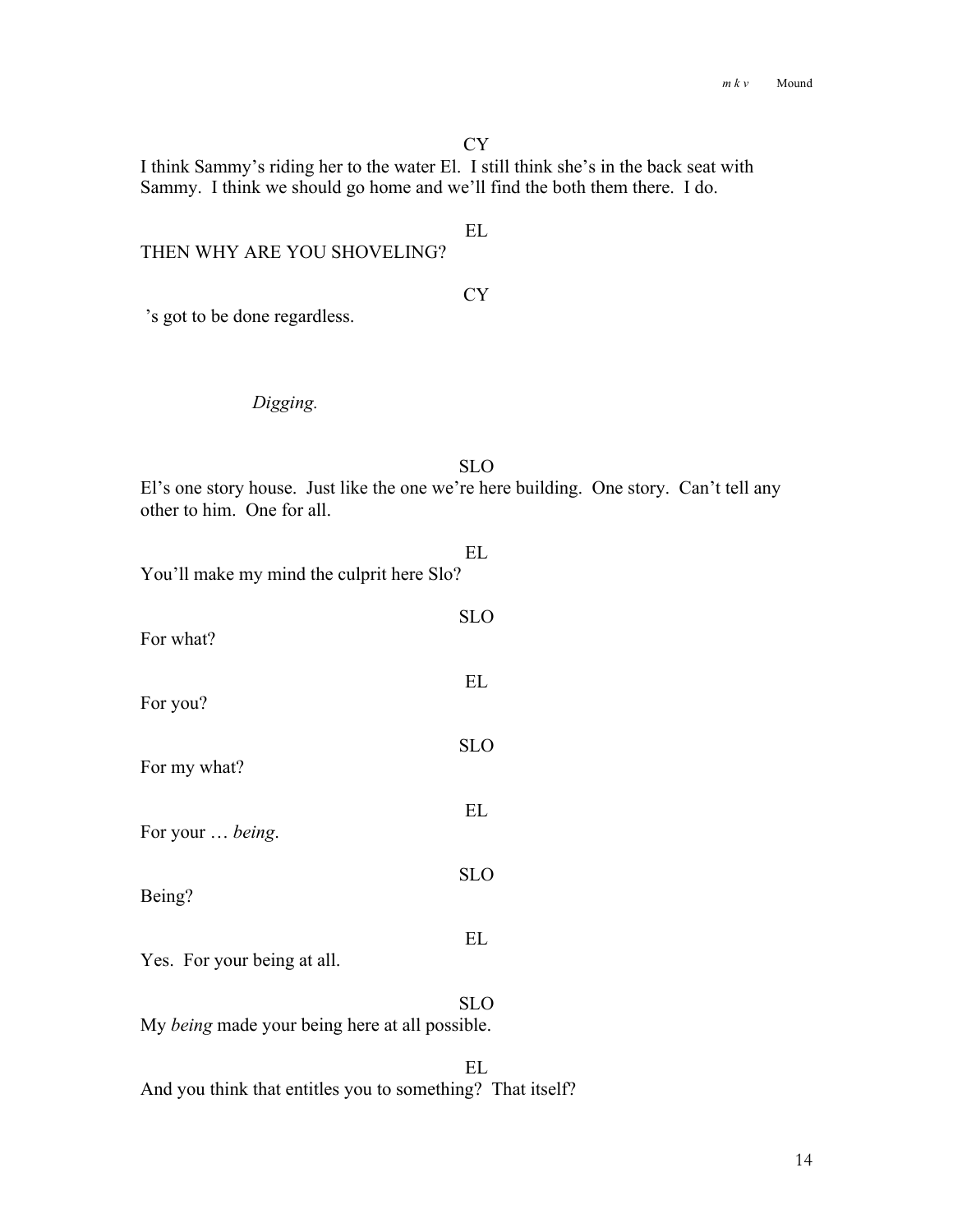#### $m k v$  Mound

## **CY**

I think Sammy's riding her to the water El. I still think she's in the back seat with Sammy. I think we should go home and we'll find the both them there. I do.

# EL

# THEN WHY ARE YOU SHOVELING?

**CY** 

's got to be done regardless.

# *Digging.*

## SLO

El's one story house. Just like the one we're here building. One story. Can't tell any other to him. One for all.

| You'll make my mind the culprit here Slo?      | EL         |  |
|------------------------------------------------|------------|--|
| For what?                                      | SLO        |  |
| For you?                                       | EL         |  |
| For my what?                                   | <b>SLO</b> |  |
| For your  being.                               | EL         |  |
| Being?                                         | <b>SLO</b> |  |
|                                                | EL         |  |
| Yes. For your being at all.                    | <b>SLO</b> |  |
| My being made your being here at all possible. |            |  |

EL And you think that entitles you to something? That itself?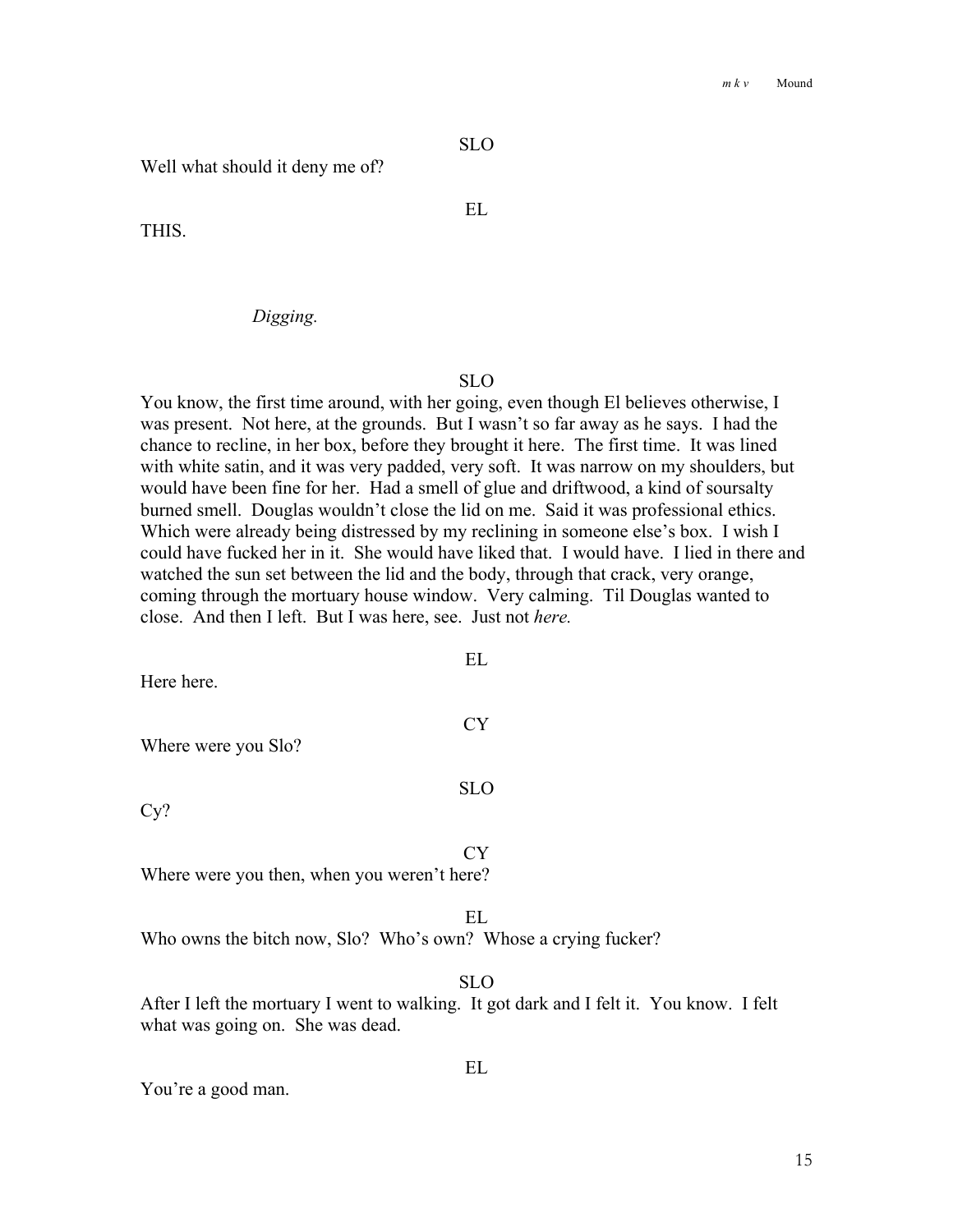EL

Well what should it deny me of?

THIS.

## *Digging.*

SLO

You know, the first time around, with her going, even though El believes otherwise, I was present. Not here, at the grounds. But I wasn't so far away as he says. I had the chance to recline, in her box, before they brought it here. The first time. It was lined with white satin, and it was very padded, very soft. It was narrow on my shoulders, but would have been fine for her. Had a smell of glue and driftwood, a kind of soursalty burned smell. Douglas wouldn't close the lid on me. Said it was professional ethics. Which were already being distressed by my reclining in someone else's box. I wish I could have fucked her in it. She would have liked that. I would have. I lied in there and watched the sun set between the lid and the body, through that crack, very orange, coming through the mortuary house window. Very calming. Til Douglas wanted to close. And then I left. But I was here, see. Just not *here.*

| Here here.                                  | EL.        |
|---------------------------------------------|------------|
| Where were you Slo?                         | <b>CY</b>  |
| $Cy$ ?                                      | <b>SLO</b> |
| Where were you then, when you weren't here? | <b>CY</b>  |
|                                             | EI.        |

Who owns the bitch now, Slo? Who's own? Whose a crying fucker?

SLO

EL

After I left the mortuary I went to walking. It got dark and I felt it. You know. I felt what was going on. She was dead.

You're a good man.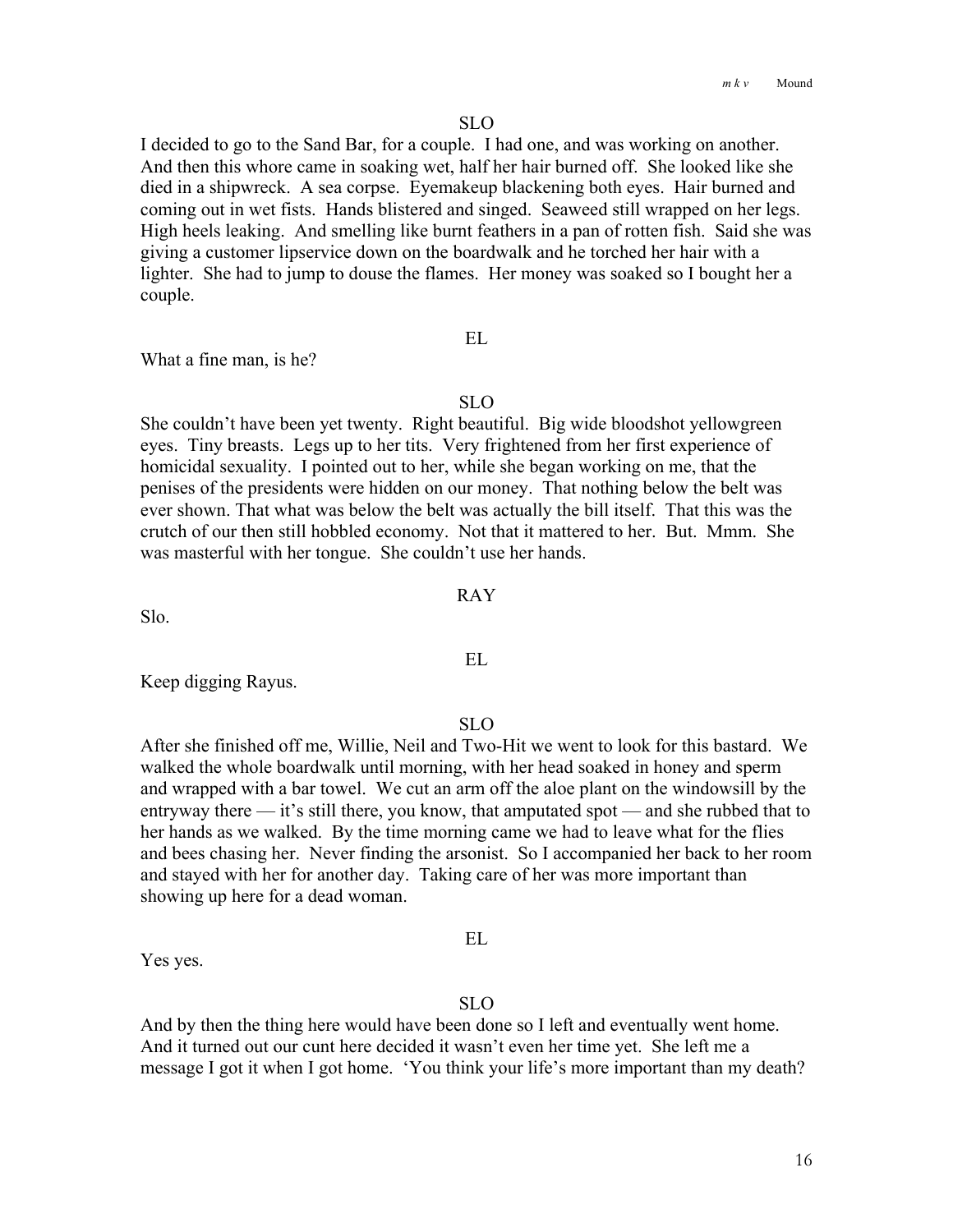16

SLO

I decided to go to the Sand Bar, for a couple. I had one, and was working on another. And then this whore came in soaking wet, half her hair burned off. She looked like she died in a shipwreck. A sea corpse. Eyemakeup blackening both eyes. Hair burned and coming out in wet fists. Hands blistered and singed. Seaweed still wrapped on her legs. High heels leaking. And smelling like burnt feathers in a pan of rotten fish. Said she was giving a customer lipservice down on the boardwalk and he torched her hair with a lighter. She had to jump to douse the flames. Her money was soaked so I bought her a couple.

What a fine man, is he?

SLO

EL

She couldn't have been yet twenty. Right beautiful. Big wide bloodshot yellowgreen eyes. Tiny breasts. Legs up to her tits. Very frightened from her first experience of homicidal sexuality. I pointed out to her, while she began working on me, that the penises of the presidents were hidden on our money. That nothing below the belt was ever shown. That what was below the belt was actually the bill itself. That this was the crutch of our then still hobbled economy. Not that it mattered to her. But. Mmm. She was masterful with her tongue. She couldn't use her hands.

## RAY

Slo.

Keep digging Rayus.

## SLO

After she finished off me, Willie, Neil and Two-Hit we went to look for this bastard. We walked the whole boardwalk until morning, with her head soaked in honey and sperm and wrapped with a bar towel. We cut an arm off the aloe plant on the windowsill by the entryway there — it's still there, you know, that amputated spot — and she rubbed that to her hands as we walked. By the time morning came we had to leave what for the flies and bees chasing her. Never finding the arsonist. So I accompanied her back to her room and stayed with her for another day. Taking care of her was more important than showing up here for a dead woman.

Yes yes.

# SLO

EL

And by then the thing here would have been done so I left and eventually went home. And it turned out our cunt here decided it wasn't even her time yet. She left me a message I got it when I got home. 'You think your life's more important than my death?

EL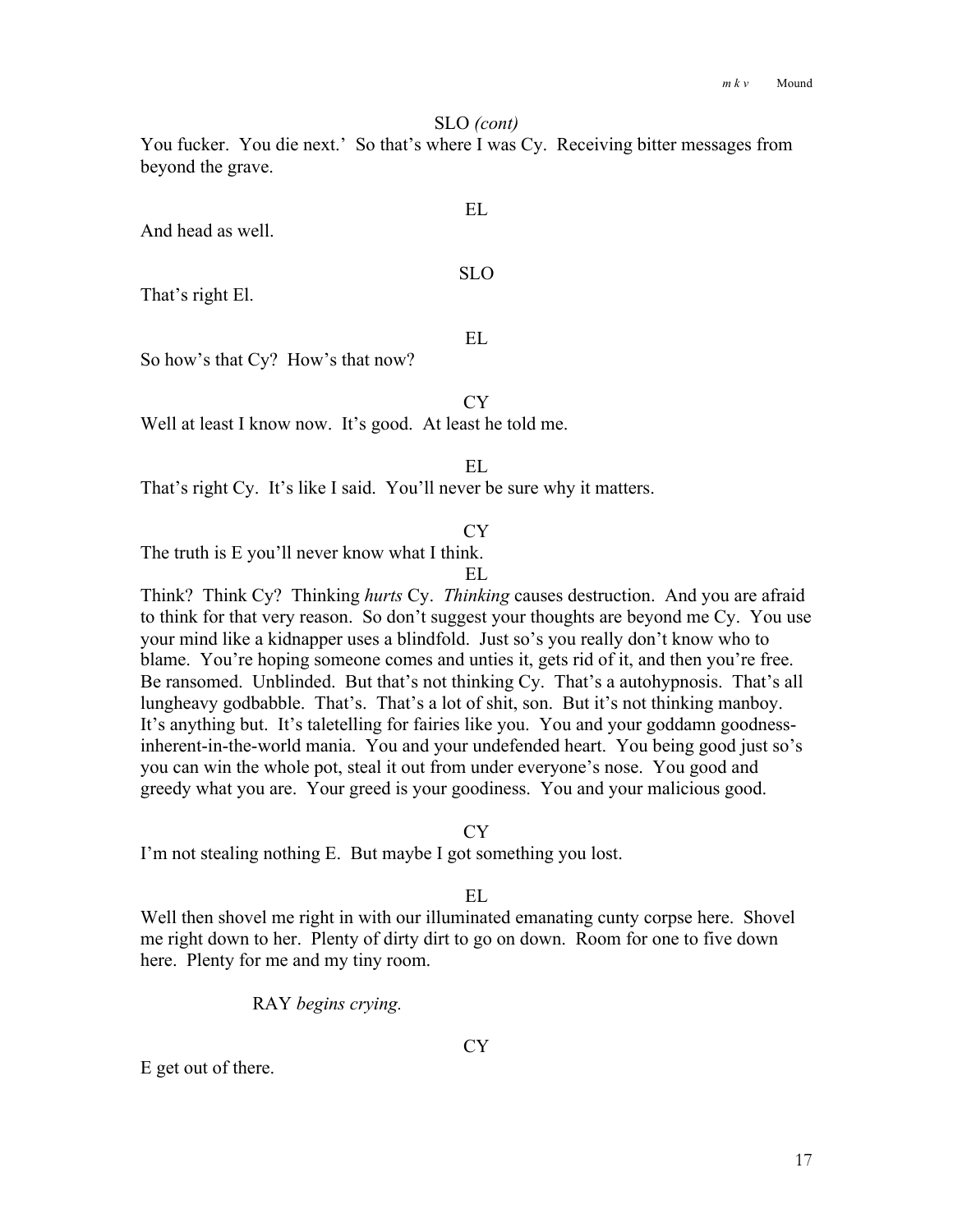SLO *(cont)*

You fucker. You die next.' So that's where I was Cy. Receiving bitter messages from beyond the grave.

And head as well.

That's right El.

So how's that Cy? How's that now?

**CY** 

Well at least I know now. It's good. At least he told me.

EL

That's right Cy. It's like I said. You'll never be sure why it matters.

CY

The truth is E you'll never know what I think.

EL

Think? Think Cy? Thinking *hurts* Cy. *Thinking* causes destruction. And you are afraid to think for that very reason. So don't suggest your thoughts are beyond me Cy. You use your mind like a kidnapper uses a blindfold. Just so's you really don't know who to blame. You're hoping someone comes and unties it, gets rid of it, and then you're free. Be ransomed. Unblinded. But that's not thinking Cy. That's a autohypnosis. That's all lungheavy godbabble. That's. That's a lot of shit, son. But it's not thinking manboy. It's anything but. It's taletelling for fairies like you. You and your goddamn goodnessinherent-in-the-world mania. You and your undefended heart. You being good just so's you can win the whole pot, steal it out from under everyone's nose. You good and greedy what you are. Your greed is your goodiness. You and your malicious good.

CY

I'm not stealing nothing E. But maybe I got something you lost.

EL

Well then shovel me right in with our illuminated emanating cunty corpse here. Shovel me right down to her. Plenty of dirty dirt to go on down. Room for one to five down here. Plenty for me and my tiny room.

CY

RAY *begins crying.*

E get out of there.

EL

SLO

EL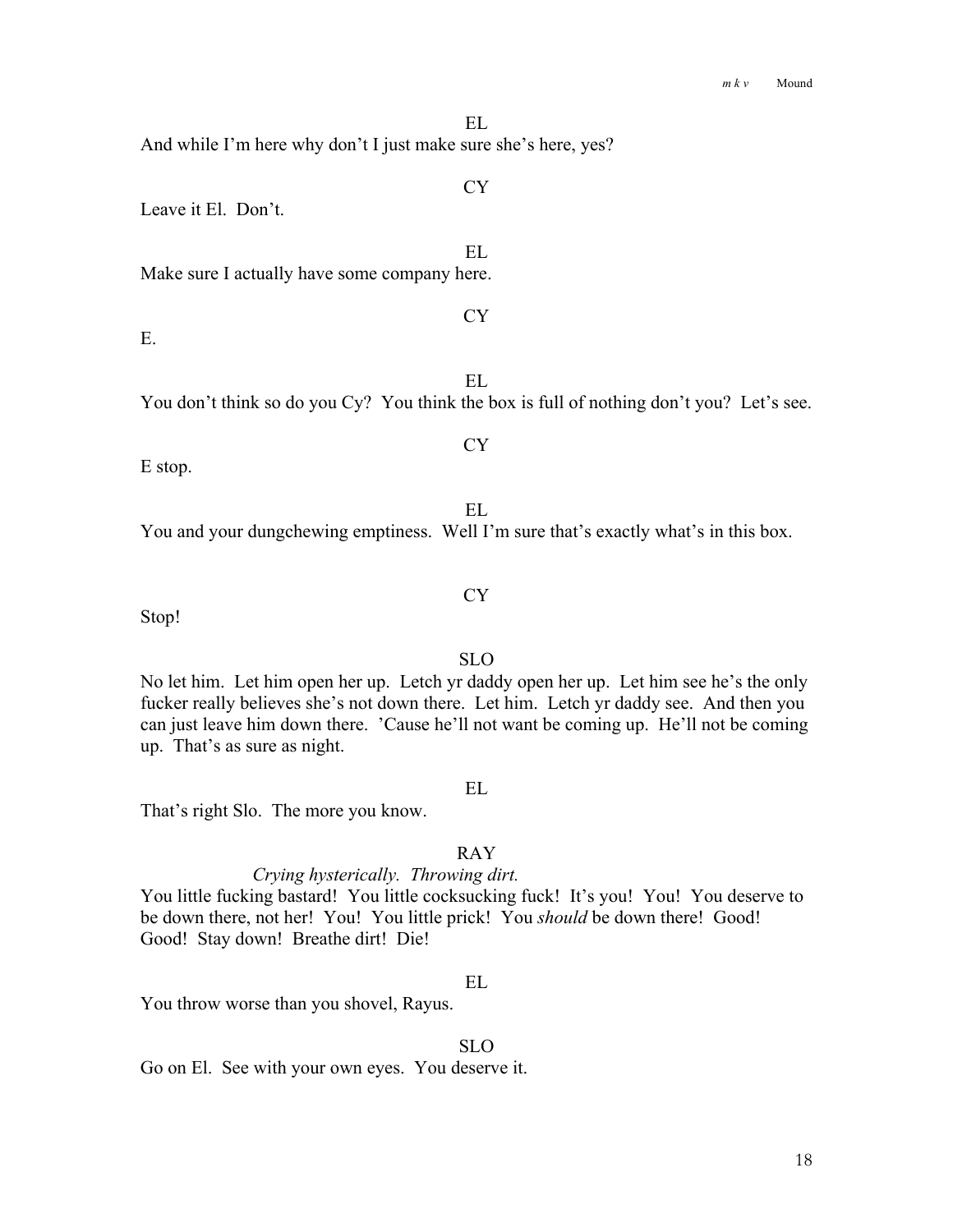EL

And while I'm here why don't I just make sure she's here, yes?

Leave it El. Don't.

Make sure I actually have some company here.

E.

EL You don't think so do you Cy? You think the box is full of nothing don't you? Let's see.

E stop.

EL You and your dungchewing emptiness. Well I'm sure that's exactly what's in this box.

Stop!

SLO No let him. Let him open her up. Letch yr daddy open her up. Let him see he's the only fucker really believes she's not down there. Let him. Letch yr daddy see. And then you can just leave him down there. 'Cause he'll not want be coming up. He'll not be coming up. That's as sure as night.

That's right Slo. The more you know.

## RAY

EL

## *Crying hysterically. Throwing dirt.*

You little fucking bastard! You little cocksucking fuck! It's you! You! You deserve to be down there, not her! You! You little prick! You *should* be down there! Good! Good! Stay down! Breathe dirt! Die!

#### EL

You throw worse than you shovel, Rayus.

## SLO

Go on El. See with your own eyes. You deserve it.

# EL

CY

CY

CY

CY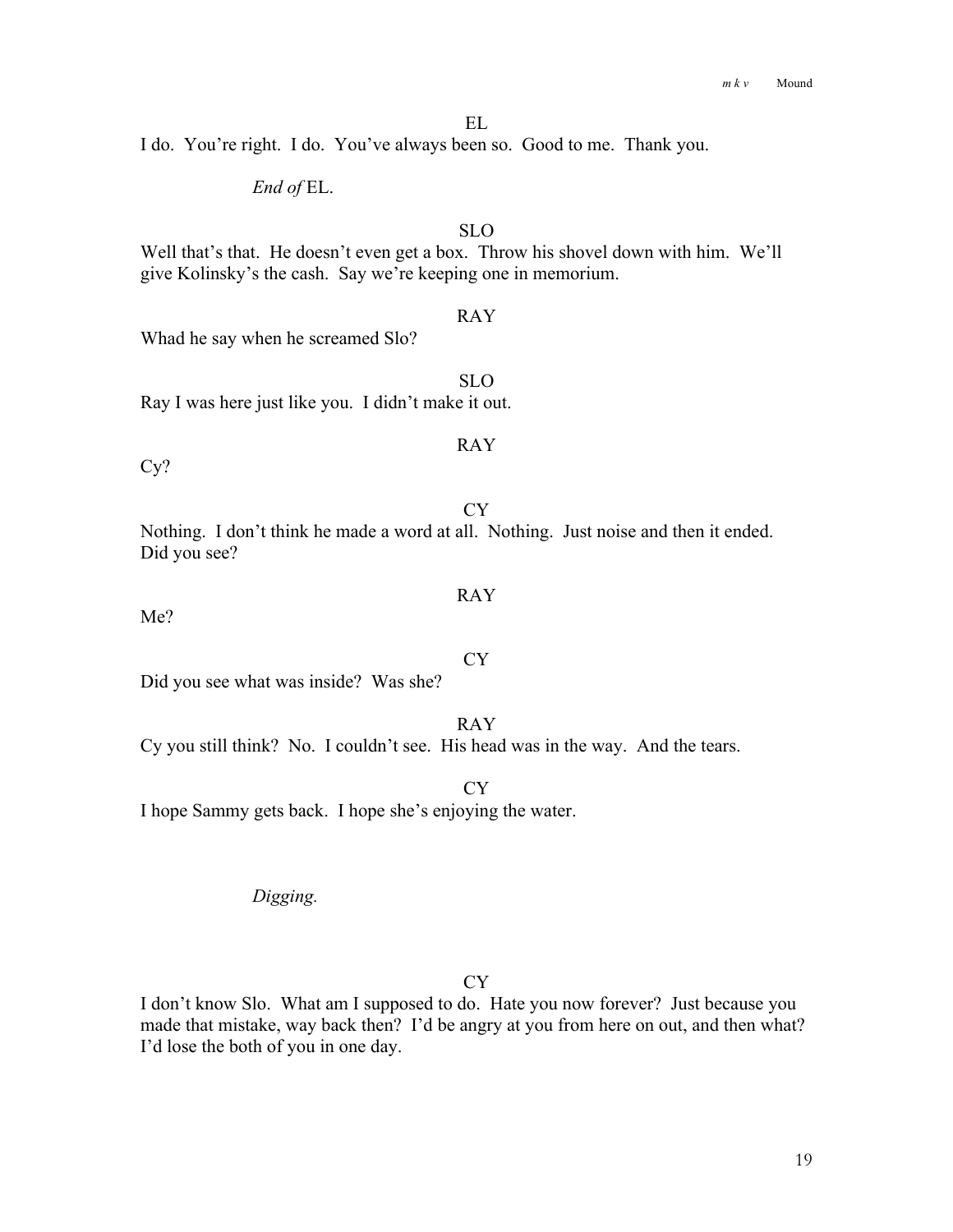EL

I do. You're right. I do. You've always been so. Good to me. Thank you.

*End of* EL.

# SLO

RAY

RAY

Well that's that. He doesn't even get a box. Throw his shovel down with him. We'll give Kolinsky's the cash. Say we're keeping one in memorium.

Whad he say when he screamed Slo?

SLO Ray I was here just like you. I didn't make it out.

Cy?

# CY Nothing. I don't think he made a word at all. Nothing. Just noise and then it ended. Did you see?

Me?

## Did you see what was inside? Was she?

RAY Cy you still think? No. I couldn't see. His head was in the way. And the tears.

I hope Sammy gets back. I hope she's enjoying the water.

*Digging.*

## CY

I don't know Slo. What am I supposed to do. Hate you now forever? Just because you made that mistake, way back then? I'd be angry at you from here on out, and then what? I'd lose the both of you in one day.

## CY

**CY** 

RAY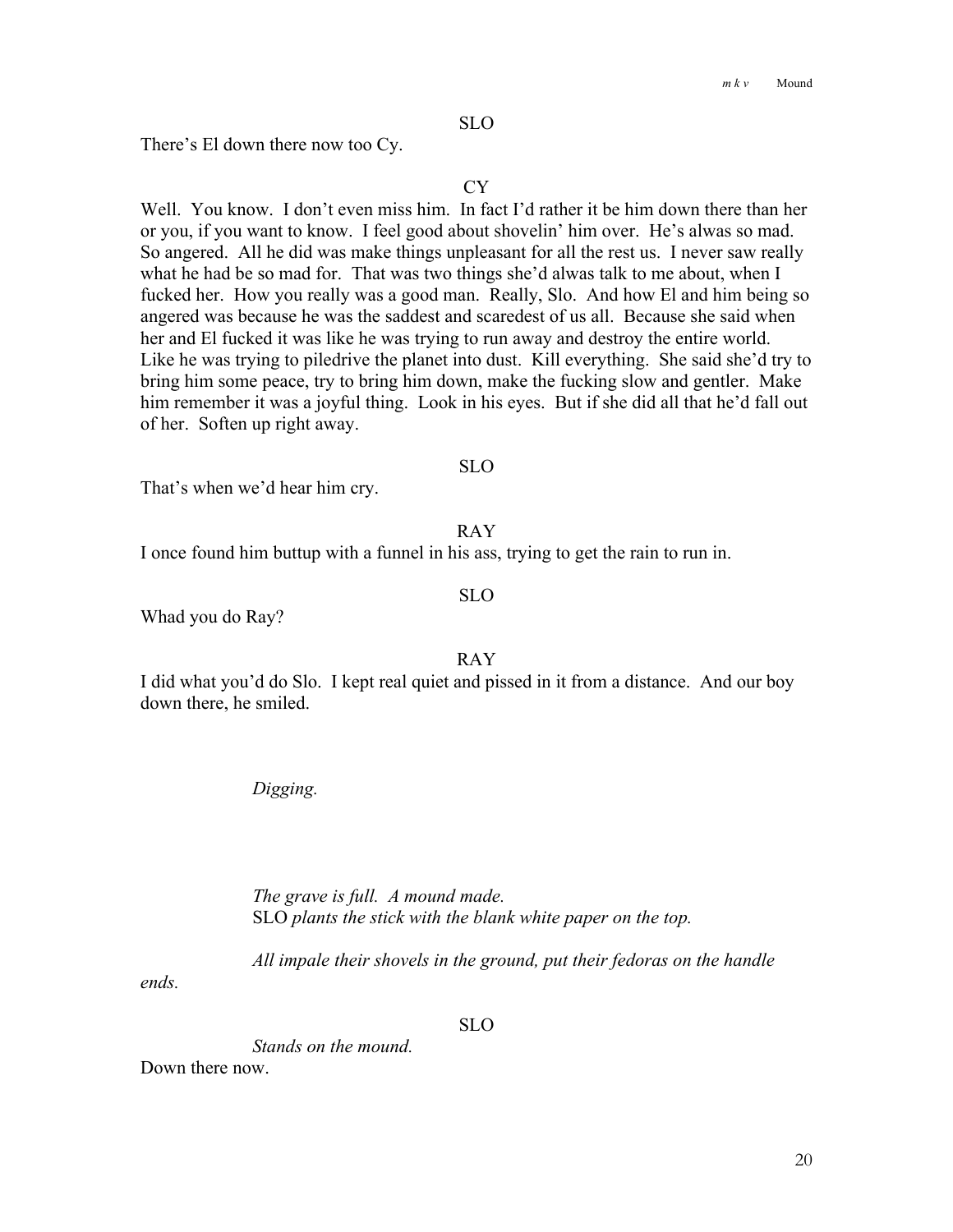### SLO

There's El down there now too Cy.

#### CY

Well. You know. I don't even miss him. In fact I'd rather it be him down there than her or you, if you want to know. I feel good about shovelin' him over. He's alwas so mad. So angered. All he did was make things unpleasant for all the rest us. I never saw really what he had be so mad for. That was two things she'd alwas talk to me about, when I fucked her. How you really was a good man. Really, Slo. And how El and him being so angered was because he was the saddest and scaredest of us all. Because she said when her and El fucked it was like he was trying to run away and destroy the entire world. Like he was trying to piledrive the planet into dust. Kill everything. She said she'd try to bring him some peace, try to bring him down, make the fucking slow and gentler. Make him remember it was a joyful thing. Look in his eyes. But if she did all that he'd fall out of her. Soften up right away.

#### SLO

That's when we'd hear him cry.

#### RAY

I once found him buttup with a funnel in his ass, trying to get the rain to run in.

## SLO

Whad you do Ray?

## RAY

I did what you'd do Slo. I kept real quiet and pissed in it from a distance. And our boy down there, he smiled.

*Digging.*

*The grave is full. A mound made.* SLO *plants the stick with the blank white paper on the top.*

*All impale their shovels in the ground, put their fedoras on the handle* 

*ends.* 

#### SLO

*Stands on the mound.*

Down there now.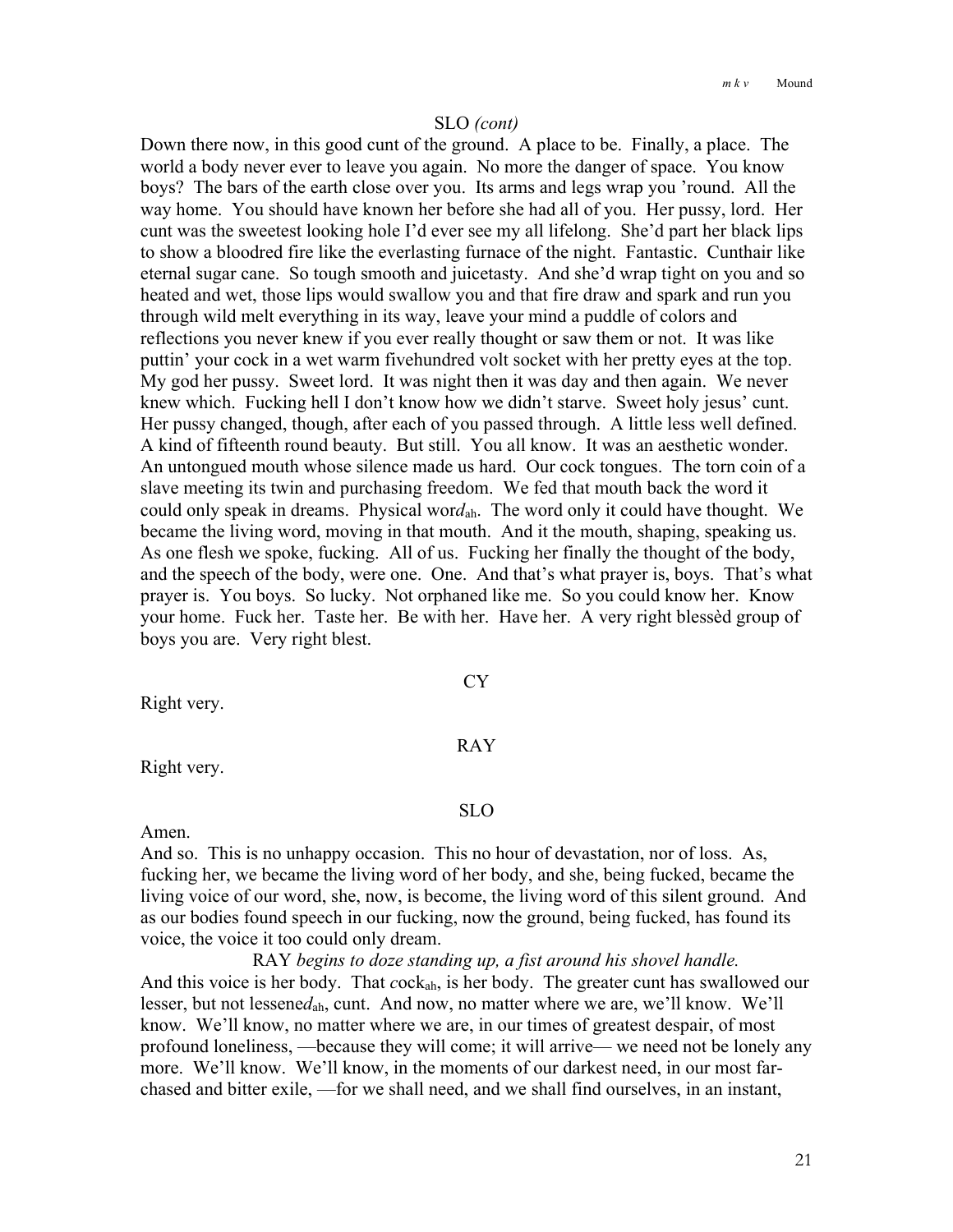## SLO *(cont)*

Down there now, in this good cunt of the ground. A place to be. Finally, a place. The world a body never ever to leave you again. No more the danger of space. You know boys? The bars of the earth close over you. Its arms and legs wrap you 'round. All the way home. You should have known her before she had all of you. Her pussy, lord. Her cunt was the sweetest looking hole I'd ever see my all lifelong. She'd part her black lips to show a bloodred fire like the everlasting furnace of the night. Fantastic. Cunthair like eternal sugar cane. So tough smooth and juicetasty. And she'd wrap tight on you and so heated and wet, those lips would swallow you and that fire draw and spark and run you through wild melt everything in its way, leave your mind a puddle of colors and reflections you never knew if you ever really thought or saw them or not. It was like puttin' your cock in a wet warm fivehundred volt socket with her pretty eyes at the top. My god her pussy. Sweet lord. It was night then it was day and then again. We never knew which. Fucking hell I don't know how we didn't starve. Sweet holy jesus' cunt. Her pussy changed, though, after each of you passed through. A little less well defined. A kind of fifteenth round beauty. But still. You all know. It was an aesthetic wonder. An untongued mouth whose silence made us hard. Our cock tongues. The torn coin of a slave meeting its twin and purchasing freedom. We fed that mouth back the word it could only speak in dreams. Physical wor*d*ah. The word only it could have thought. We became the living word, moving in that mouth. And it the mouth, shaping, speaking us. As one flesh we spoke, fucking. All of us. Fucking her finally the thought of the body, and the speech of the body, were one. One. And that's what prayer is, boys. That's what prayer is. You boys. So lucky. Not orphaned like me. So you could know her. Know your home. Fuck her. Taste her. Be with her. Have her. A very right blessèd group of boys you are. Very right blest.

Right very.

CY

#### RAY

Right very.

#### SLO

## Amen.

And so. This is no unhappy occasion. This no hour of devastation, nor of loss. As, fucking her, we became the living word of her body, and she, being fucked, became the living voice of our word, she, now, is become, the living word of this silent ground. And as our bodies found speech in our fucking, now the ground, being fucked, has found its voice, the voice it too could only dream.

RAY *begins to doze standing up, a fist around his shovel handle.* And this voice is her body. That *c*ockah, is her body. The greater cunt has swallowed our lesser, but not lessene*d*ah, cunt. And now, no matter where we are, we'll know. We'll know. We'll know, no matter where we are, in our times of greatest despair, of most profound loneliness, —because they will come; it will arrive— we need not be lonely any more. We'll know. We'll know, in the moments of our darkest need, in our most farchased and bitter exile, —for we shall need, and we shall find ourselves, in an instant,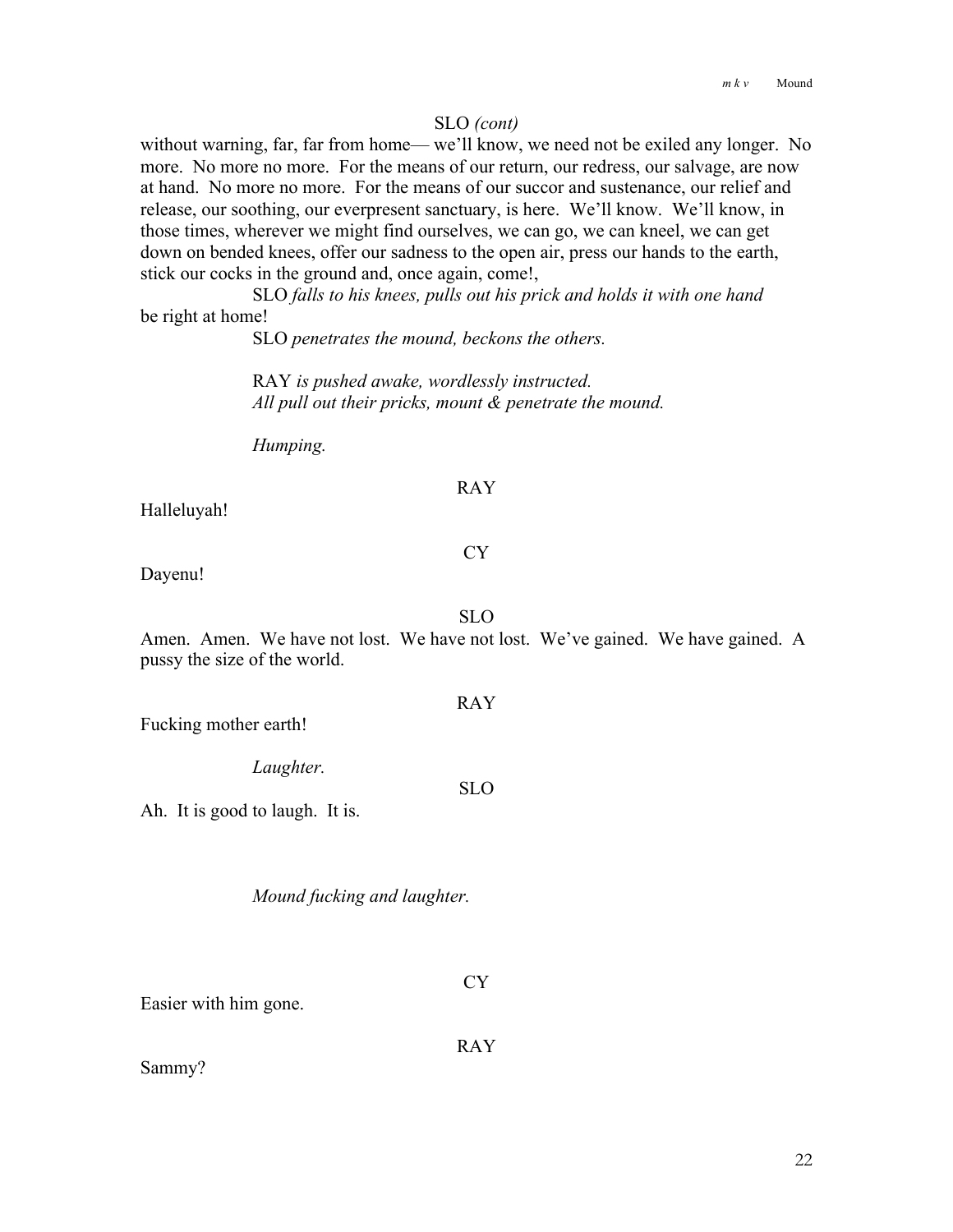## SLO *(cont)*

without warning, far, far from home— we'll know, we need not be exiled any longer. No more. No more no more. For the means of our return, our redress, our salvage, are now at hand. No more no more. For the means of our succor and sustenance, our relief and release, our soothing, our everpresent sanctuary, is here. We'll know. We'll know, in those times, wherever we might find ourselves, we can go, we can kneel, we can get down on bended knees, offer our sadness to the open air, press our hands to the earth, stick our cocks in the ground and, once again, come!,

SLO *falls to his knees, pulls out his prick and holds it with one hand* be right at home!

SLO *penetrates the mound, beckons the others.*

RAY *is pushed awake, wordlessly instructed. All pull out their pricks, mount & penetrate the mound.*

*Humping.*

## RAY

Halleluyah!

## CY

Dayenu!

SLO

Amen. Amen. We have not lost. We have not lost. We've gained. We have gained. A pussy the size of the world.

Fucking mother earth!

*Laughter.*

Ah. It is good to laugh. It is.

*Mound fucking and laughter.*

Easier with him gone.

RAY

CY

Sammy?

RAY

SLO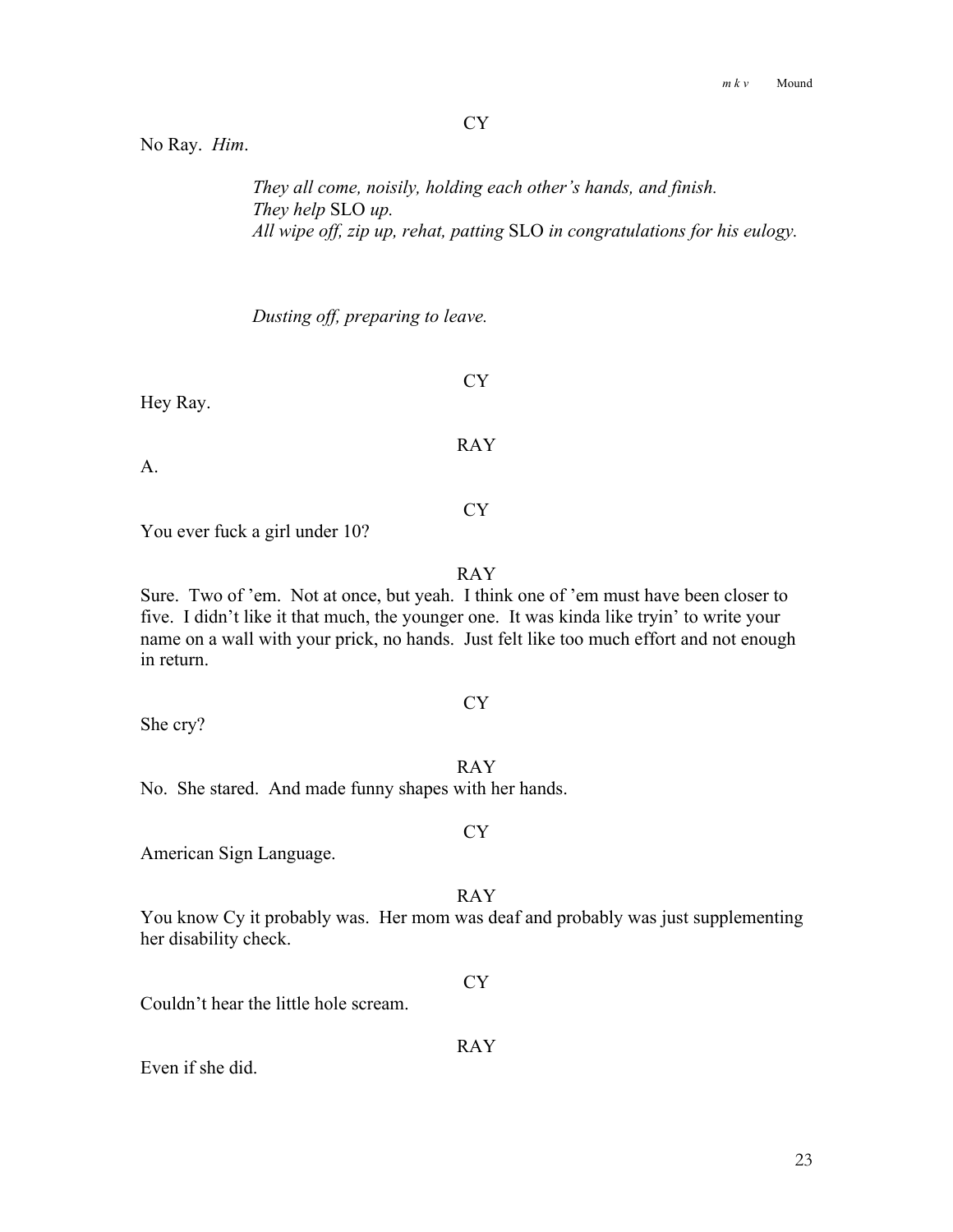23

CY

No Ray. *Him*.

*They all come, noisily, holding each other's hands, and finish. They help* SLO *up. All wipe off, zip up, rehat, patting* SLO *in congratulations for his eulogy.*

*Dusting off, preparing to leave.*

Hey Ray.

A.

You ever fuck a girl under 10?

RAY

CY

RAY

CY

Sure. Two of 'em. Not at once, but yeah. I think one of 'em must have been closer to five. I didn't like it that much, the younger one. It was kinda like tryin' to write your name on a wall with your prick, no hands. Just felt like too much effort and not enough in return.

CY

She cry?

RAY

No. She stared. And made funny shapes with her hands.

American Sign Language.

## RAY

You know Cy it probably was. Her mom was deaf and probably was just supplementing her disability check.

CY

RAY

Couldn't hear the little hole scream.

Even if she did.

CY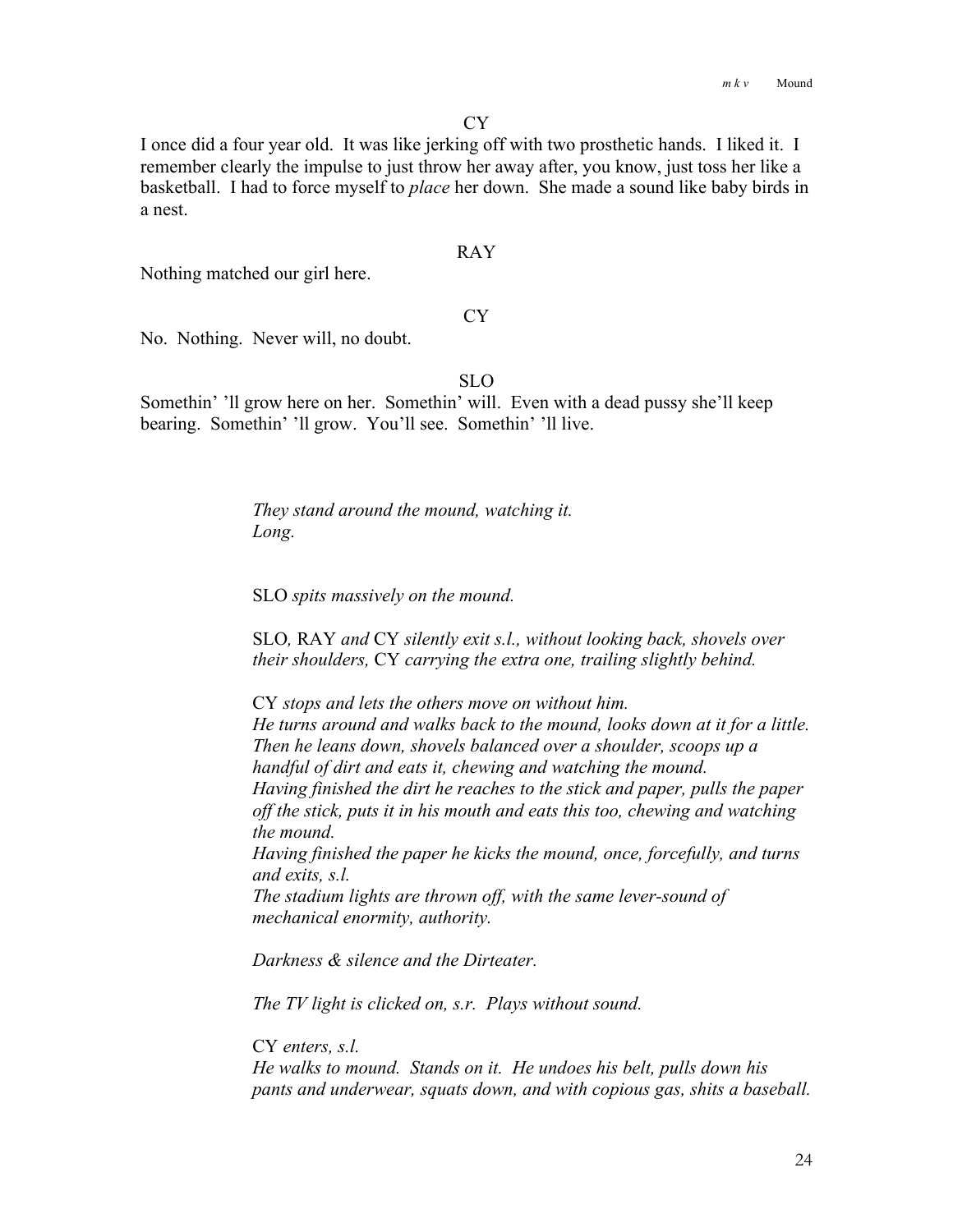#### CY

I once did a four year old. It was like jerking off with two prosthetic hands. I liked it. I remember clearly the impulse to just throw her away after, you know, just toss her like a basketball. I had to force myself to *place* her down. She made a sound like baby birds in a nest.

## RAY

Nothing matched our girl here.

## CY

No. Nothing. Never will, no doubt.

SLO

Somethin' 'll grow here on her. Somethin' will. Even with a dead pussy she'll keep bearing. Somethin' 'll grow. You'll see. Somethin' 'll live.

> *They stand around the mound, watching it. Long.*

SLO *spits massively on the mound.*

SLO*,* RAY *and* CY *silently exit s.l., without looking back, shovels over their shoulders,* CY *carrying the extra one, trailing slightly behind.*

CY *stops and lets the others move on without him. He turns around and walks back to the mound, looks down at it for a little. Then he leans down, shovels balanced over a shoulder, scoops up a handful of dirt and eats it, chewing and watching the mound. Having finished the dirt he reaches to the stick and paper, pulls the paper off the stick, puts it in his mouth and eats this too, chewing and watching the mound.*

*Having finished the paper he kicks the mound, once, forcefully, and turns and exits, s.l.*

*The stadium lights are thrown off, with the same lever-sound of mechanical enormity, authority.*

*Darkness & silence and the Dirteater.*

*The TV light is clicked on, s.r. Plays without sound.*

CY *enters, s.l.*

*He walks to mound. Stands on it. He undoes his belt, pulls down his pants and underwear, squats down, and with copious gas, shits a baseball.*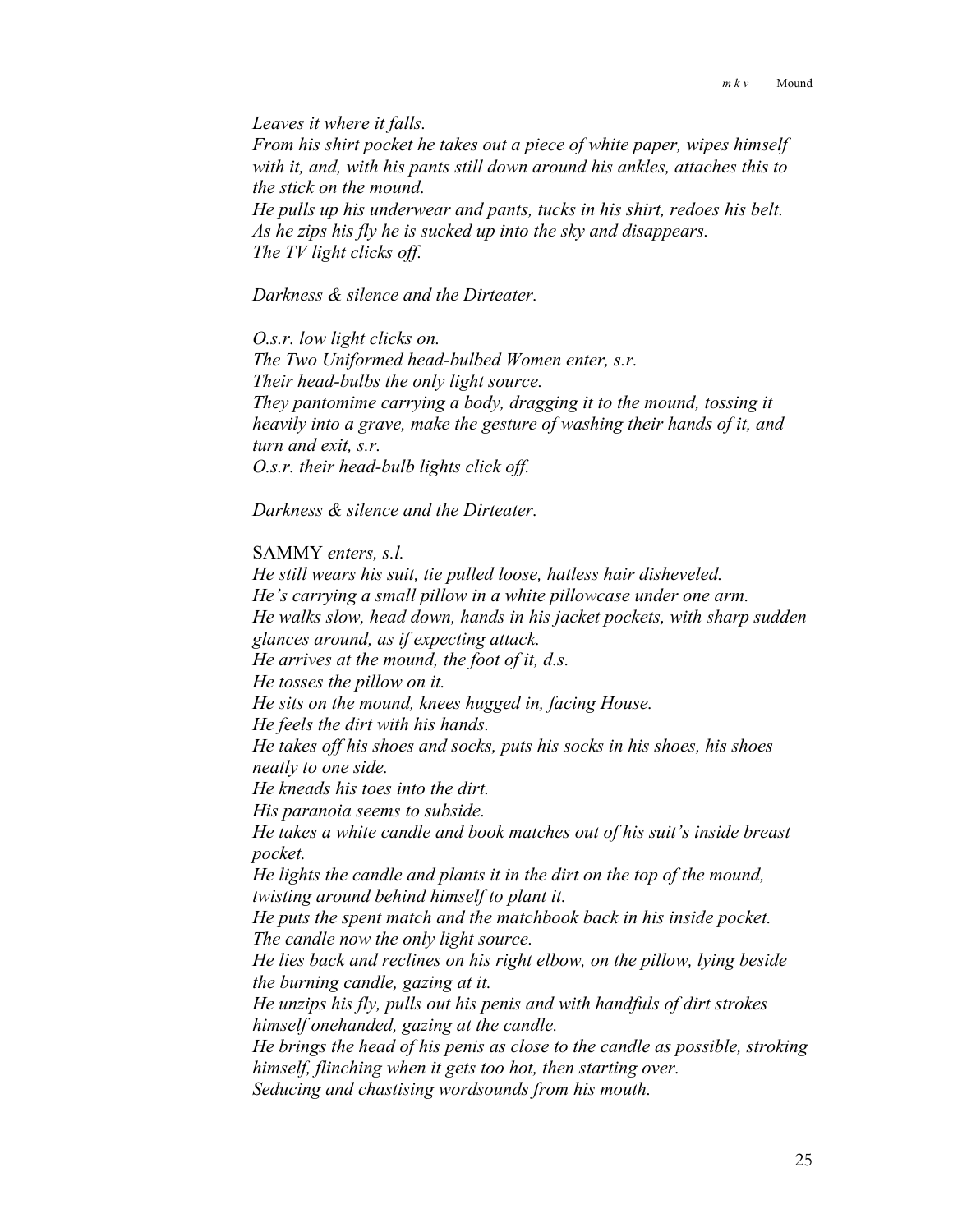*Leaves it where it falls.*

*From his shirt pocket he takes out a piece of white paper, wipes himself with it, and, with his pants still down around his ankles, attaches this to the stick on the mound. He pulls up his underwear and pants, tucks in his shirt, redoes his belt. As he zips his fly he is sucked up into the sky and disappears.*

*The TV light clicks off.*

*Darkness & silence and the Dirteater.*

*O.s.r. low light clicks on. The Two Uniformed head-bulbed Women enter, s.r. Their head-bulbs the only light source. They pantomime carrying a body, dragging it to the mound, tossing it heavily into a grave, make the gesture of washing their hands of it, and turn and exit, s.r. O.s.r. their head-bulb lights click off.*

*Darkness & silence and the Dirteater.*

### SAMMY *enters, s.l.*

*He still wears his suit, tie pulled loose, hatless hair disheveled. He's carrying a small pillow in a white pillowcase under one arm. He walks slow, head down, hands in his jacket pockets, with sharp sudden glances around, as if expecting attack. He arrives at the mound, the foot of it, d.s. He tosses the pillow on it. He sits on the mound, knees hugged in, facing House. He feels the dirt with his hands. He takes off his shoes and socks, puts his socks in his shoes, his shoes neatly to one side. He kneads his toes into the dirt. His paranoia seems to subside. He takes a white candle and book matches out of his suit's inside breast pocket. He lights the candle and plants it in the dirt on the top of the mound, twisting around behind himself to plant it. He puts the spent match and the matchbook back in his inside pocket. The candle now the only light source. He lies back and reclines on his right elbow, on the pillow, lying beside the burning candle, gazing at it. He unzips his fly, pulls out his penis and with handfuls of dirt strokes himself onehanded, gazing at the candle. He brings the head of his penis as close to the candle as possible, stroking himself, flinching when it gets too hot, then starting over. Seducing and chastising wordsounds from his mouth.*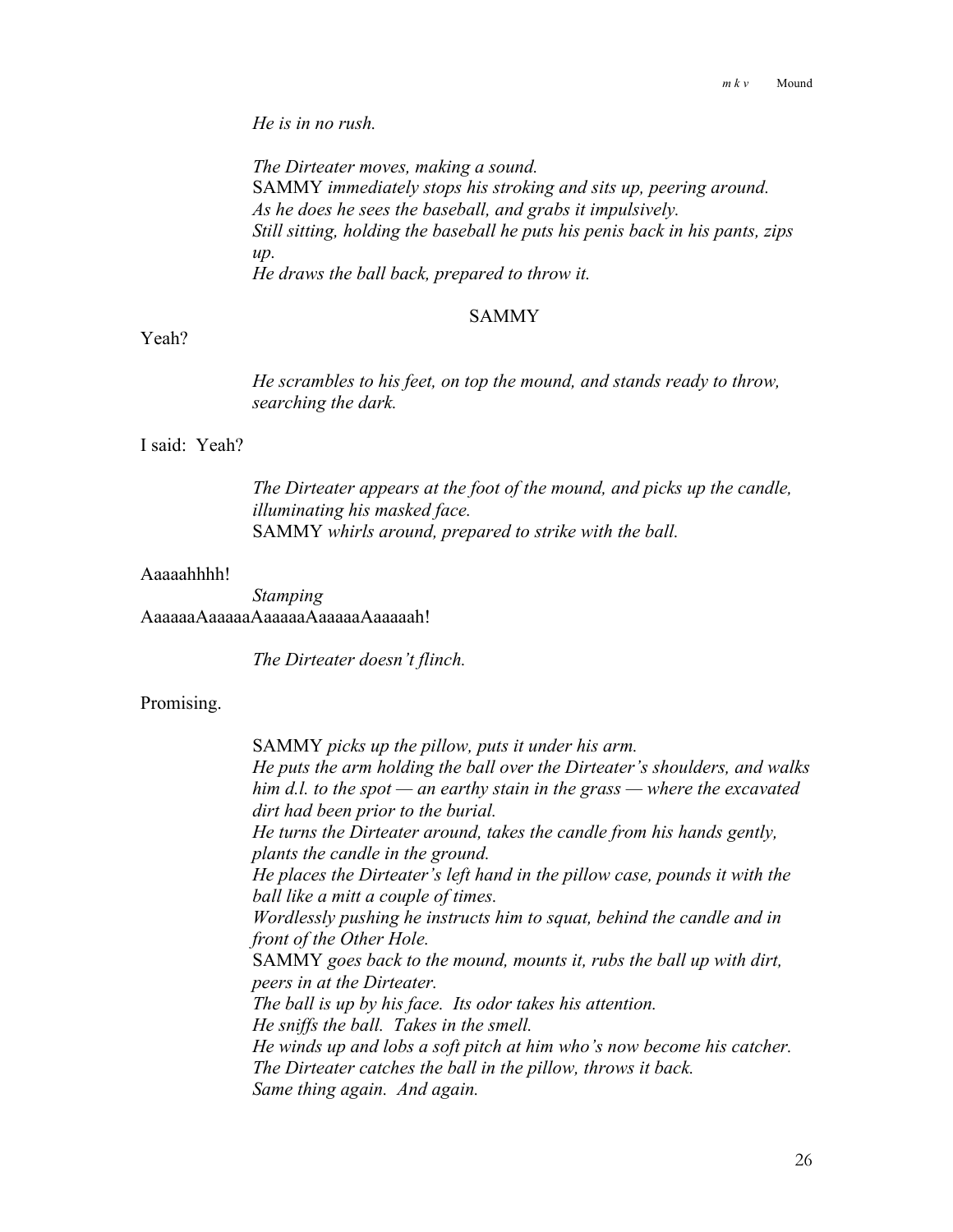*He is in no rush.*

*The Dirteater moves, making a sound.* SAMMY *immediately stops his stroking and sits up, peering around. As he does he sees the baseball, and grabs it impulsively. Still sitting, holding the baseball he puts his penis back in his pants, zips up. He draws the ball back, prepared to throw it.*

#### SAMMY

### Yeah?

*He scrambles to his feet, on top the mound, and stands ready to throw, searching the dark.*

I said: Yeah?

*The Dirteater appears at the foot of the mound, and picks up the candle, illuminating his masked face.* SAMMY *whirls around, prepared to strike with the ball.*

## Aaaaahhhh!

*Stamping* AaaaaaAaaaaaAaaaaaAaaaaaAaaaaah!

*The Dirteater doesn't flinch.*

## Promising.

SAMMY *picks up the pillow, puts it under his arm. He puts the arm holding the ball over the Dirteater's shoulders, and walks him d.l. to the spot — an earthy stain in the grass — where the excavated dirt had been prior to the burial. He turns the Dirteater around, takes the candle from his hands gently, plants the candle in the ground. He places the Dirteater's left hand in the pillow case, pounds it with the ball like a mitt a couple of times. Wordlessly pushing he instructs him to squat, behind the candle and in front of the Other Hole.* SAMMY *goes back to the mound, mounts it, rubs the ball up with dirt, peers in at the Dirteater. The ball is up by his face. Its odor takes his attention. He sniffs the ball. Takes in the smell. He winds up and lobs a soft pitch at him who's now become his catcher. The Dirteater catches the ball in the pillow, throws it back. Same thing again. And again.*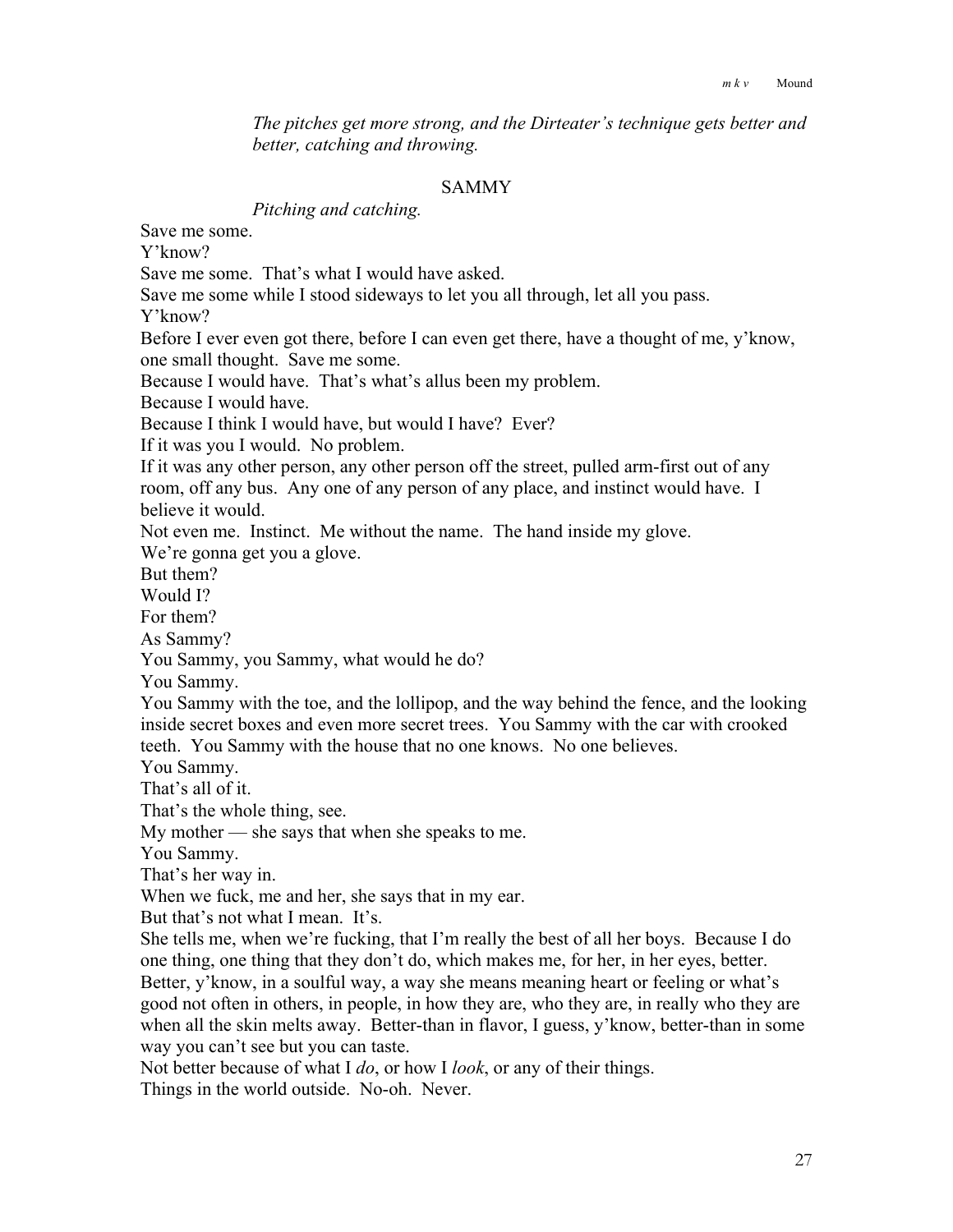*The pitches get more strong, and the Dirteater's technique gets better and better, catching and throwing.*

## SAMMY

*Pitching and catching.*

Save me some.

Y'know?

Save me some. That's what I would have asked.

Save me some while I stood sideways to let you all through, let all you pass.

Y'know?

Before I ever even got there, before I can even get there, have a thought of me, y'know, one small thought. Save me some.

Because I would have. That's what's allus been my problem.

Because I would have.

Because I think I would have, but would I have? Ever?

If it was you I would. No problem.

If it was any other person, any other person off the street, pulled arm-first out of any room, off any bus. Any one of any person of any place, and instinct would have. I believe it would.

Not even me. Instinct. Me without the name. The hand inside my glove.

We're gonna get you a glove.

But them?

Would I?

For them?

As Sammy?

You Sammy, you Sammy, what would he do?

You Sammy.

You Sammy with the toe, and the lollipop, and the way behind the fence, and the looking inside secret boxes and even more secret trees. You Sammy with the car with crooked teeth. You Sammy with the house that no one knows. No one believes.

You Sammy.

That's all of it.

That's the whole thing, see.

My mother — she says that when she speaks to me.

You Sammy.

That's her way in.

When we fuck, me and her, she says that in my ear.

But that's not what I mean. It's.

She tells me, when we're fucking, that I'm really the best of all her boys. Because I do one thing, one thing that they don't do, which makes me, for her, in her eyes, better. Better, y'know, in a soulful way, a way she means meaning heart or feeling or what's good not often in others, in people, in how they are, who they are, in really who they are when all the skin melts away. Better-than in flavor, I guess, y'know, better-than in some way you can't see but you can taste.

Not better because of what I *do*, or how I *look*, or any of their things.

Things in the world outside. No-oh. Never.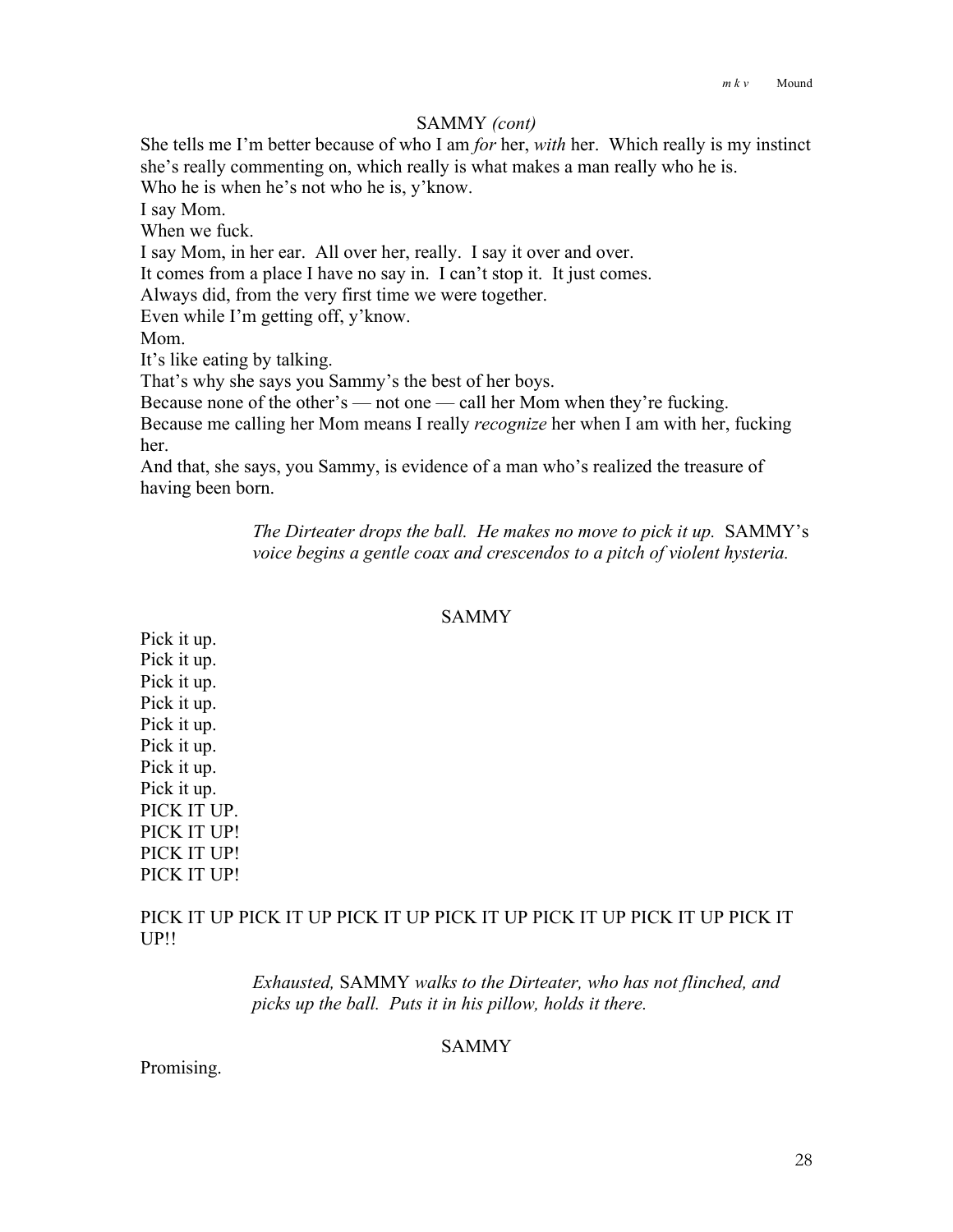## SAMMY *(cont)*

She tells me I'm better because of who I am *for* her, *with* her. Which really is my instinct she's really commenting on, which really is what makes a man really who he is. Who he is when he's not who he is, y'know.

I say Mom.

When we fuck.

I say Mom, in her ear. All over her, really. I say it over and over.

It comes from a place I have no say in. I can't stop it. It just comes.

Always did, from the very first time we were together.

Even while I'm getting off, y'know.

Mom.

It's like eating by talking.

That's why she says you Sammy's the best of her boys.

Because none of the other's — not one — call her Mom when they're fucking.

Because me calling her Mom means I really *recognize* her when I am with her, fucking her.

And that, she says, you Sammy, is evidence of a man who's realized the treasure of having been born.

> *The Dirteater drops the ball. He makes no move to pick it up.* SAMMY's *voice begins a gentle coax and crescendos to a pitch of violent hysteria.*

## SAMMY

Pick it up. Pick it up. Pick it up. Pick it up. Pick it up. Pick it up. Pick it up. Pick it up. PICK IT UP. PICK IT UP! PICK IT UP! PICK IT UP!

PICK IT UP PICK IT UP PICK IT UP PICK IT UP PICK IT UP PICK IT UP PICK IT UP!!

> *Exhausted,* SAMMY *walks to the Dirteater, who has not flinched, and picks up the ball. Puts it in his pillow, holds it there.*

## SAMMY

Promising.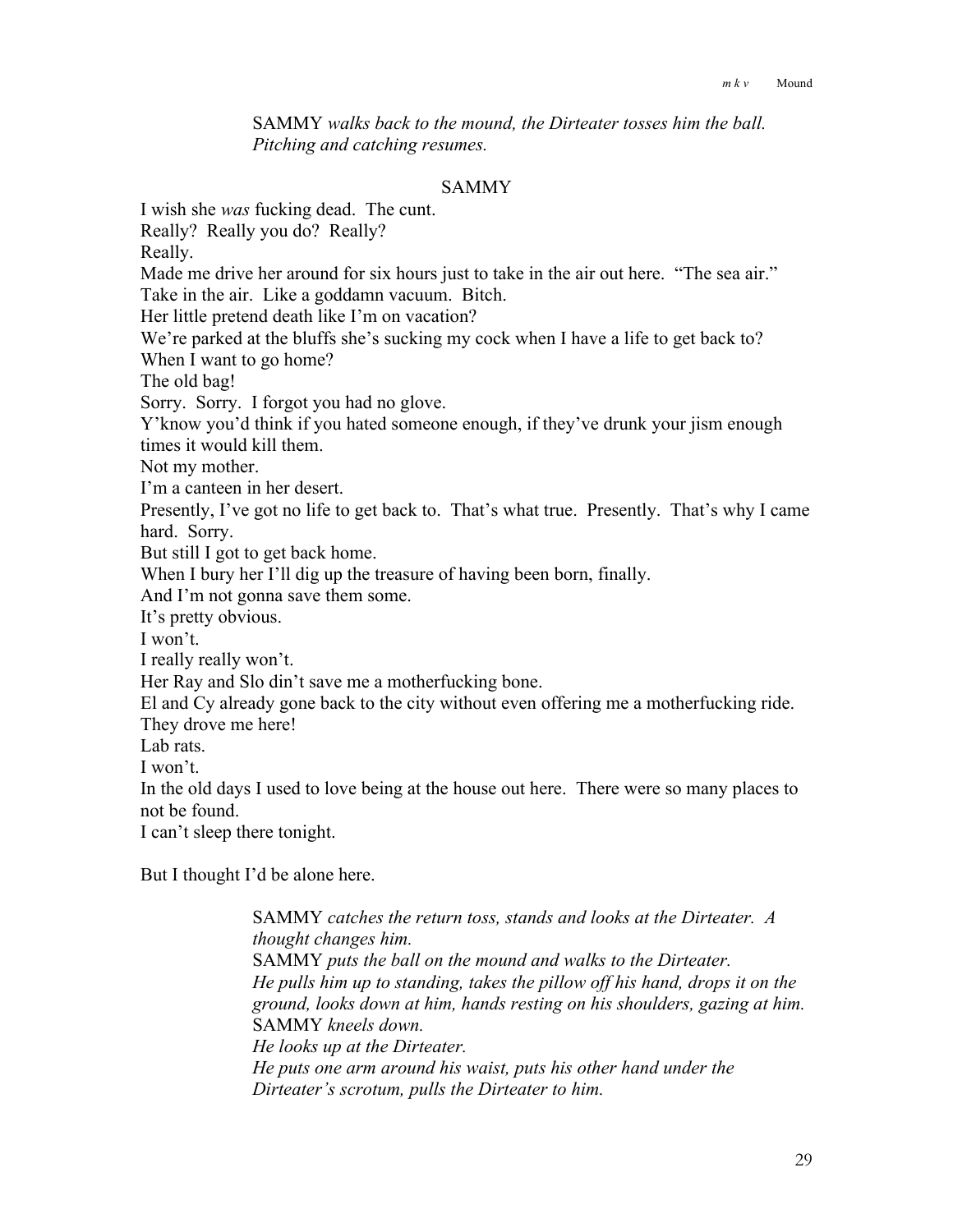SAMMY *walks back to the mound, the Dirteater tosses him the ball. Pitching and catching resumes.*

## SAMMY

I wish she *was* fucking dead. The cunt. Really? Really you do? Really? Really. Made me drive her around for six hours just to take in the air out here. "The sea air." Take in the air. Like a goddamn vacuum. Bitch. Her little pretend death like I'm on vacation? We're parked at the bluffs she's sucking my cock when I have a life to get back to? When I want to go home? The old bag! Sorry. Sorry. I forgot you had no glove. Y'know you'd think if you hated someone enough, if they've drunk your jism enough times it would kill them. Not my mother. I'm a canteen in her desert. Presently, I've got no life to get back to. That's what true. Presently. That's why I came hard. Sorry. But still I got to get back home. When I bury her I'll dig up the treasure of having been born, finally. And I'm not gonna save them some. It's pretty obvious. I won't. I really really won't. Her Ray and Slo din't save me a motherfucking bone. El and Cy already gone back to the city without even offering me a motherfucking ride. They drove me here! Lab rats. I won't. In the old days I used to love being at the house out here. There were so many places to not be found. I can't sleep there tonight.

But I thought I'd be alone here.

SAMMY *catches the return toss, stands and looks at the Dirteater. A thought changes him.*  SAMMY *puts the ball on the mound and walks to the Dirteater. He pulls him up to standing, takes the pillow off his hand, drops it on the ground, looks down at him, hands resting on his shoulders, gazing at him.* SAMMY *kneels down. He looks up at the Dirteater. He puts one arm around his waist, puts his other hand under the Dirteater's scrotum, pulls the Dirteater to him.*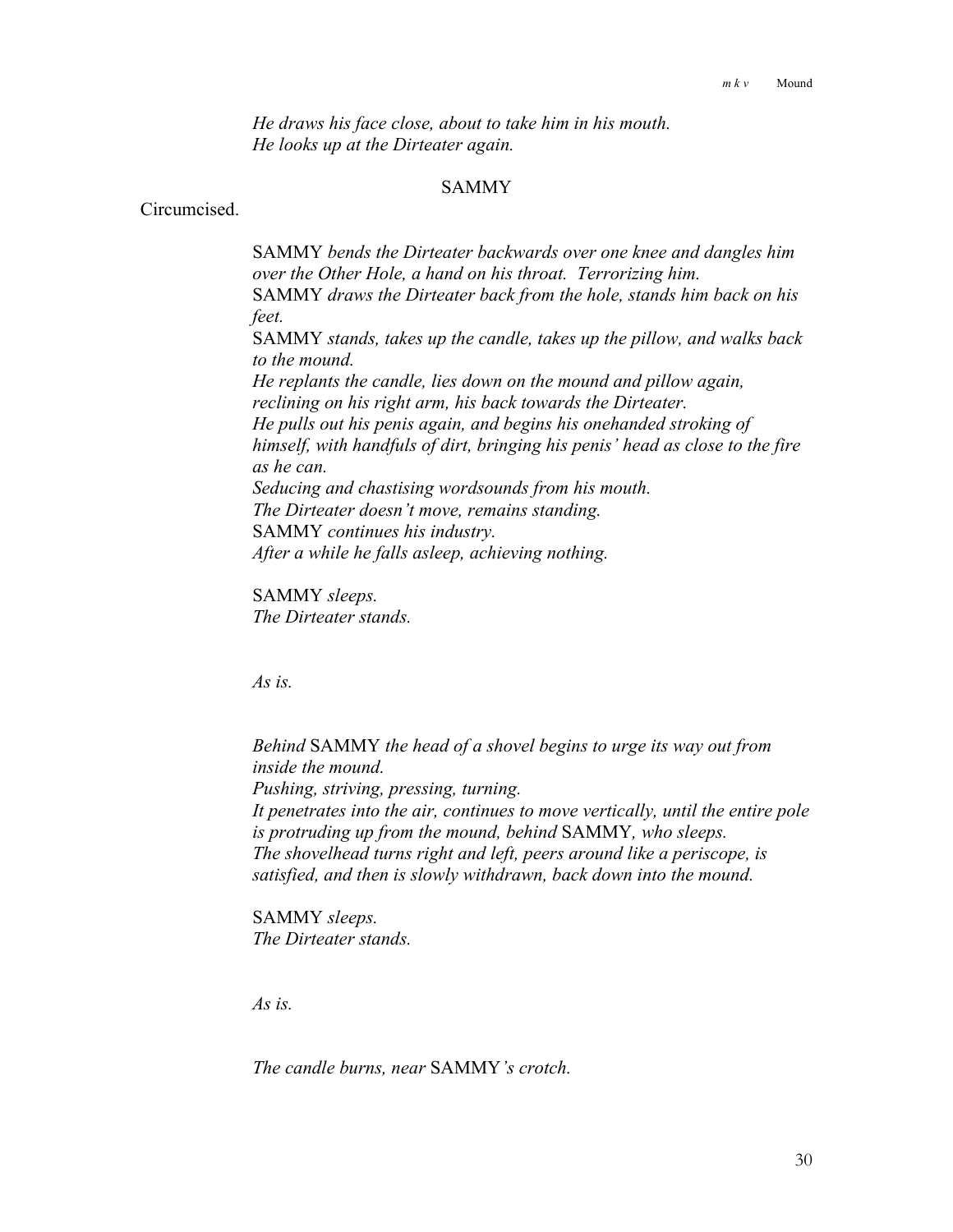*He draws his face close, about to take him in his mouth. He looks up at the Dirteater again.*

## SAMMY

Circumcised.

SAMMY *bends the Dirteater backwards over one knee and dangles him over the Other Hole, a hand on his throat. Terrorizing him.* SAMMY *draws the Dirteater back from the hole, stands him back on his feet.*  SAMMY *stands, takes up the candle, takes up the pillow, and walks back to the mound. He replants the candle, lies down on the mound and pillow again, reclining on his right arm, his back towards the Dirteater. He pulls out his penis again, and begins his onehanded stroking of himself, with handfuls of dirt, bringing his penis' head as close to the fire as he can. Seducing and chastising wordsounds from his mouth. The Dirteater doesn't move, remains standing.* SAMMY *continues his industry. After a while he falls asleep, achieving nothing.*

SAMMY *sleeps. The Dirteater stands.*

*As is.*

*Behind* SAMMY *the head of a shovel begins to urge its way out from inside the mound. Pushing, striving, pressing, turning. It penetrates into the air, continues to move vertically, until the entire pole is protruding up from the mound, behind* SAMMY*, who sleeps. The shovelhead turns right and left, peers around like a periscope, is satisfied, and then is slowly withdrawn, back down into the mound.*

SAMMY *sleeps. The Dirteater stands.*

*As is.*

*The candle burns, near* SAMMY*'s crotch.*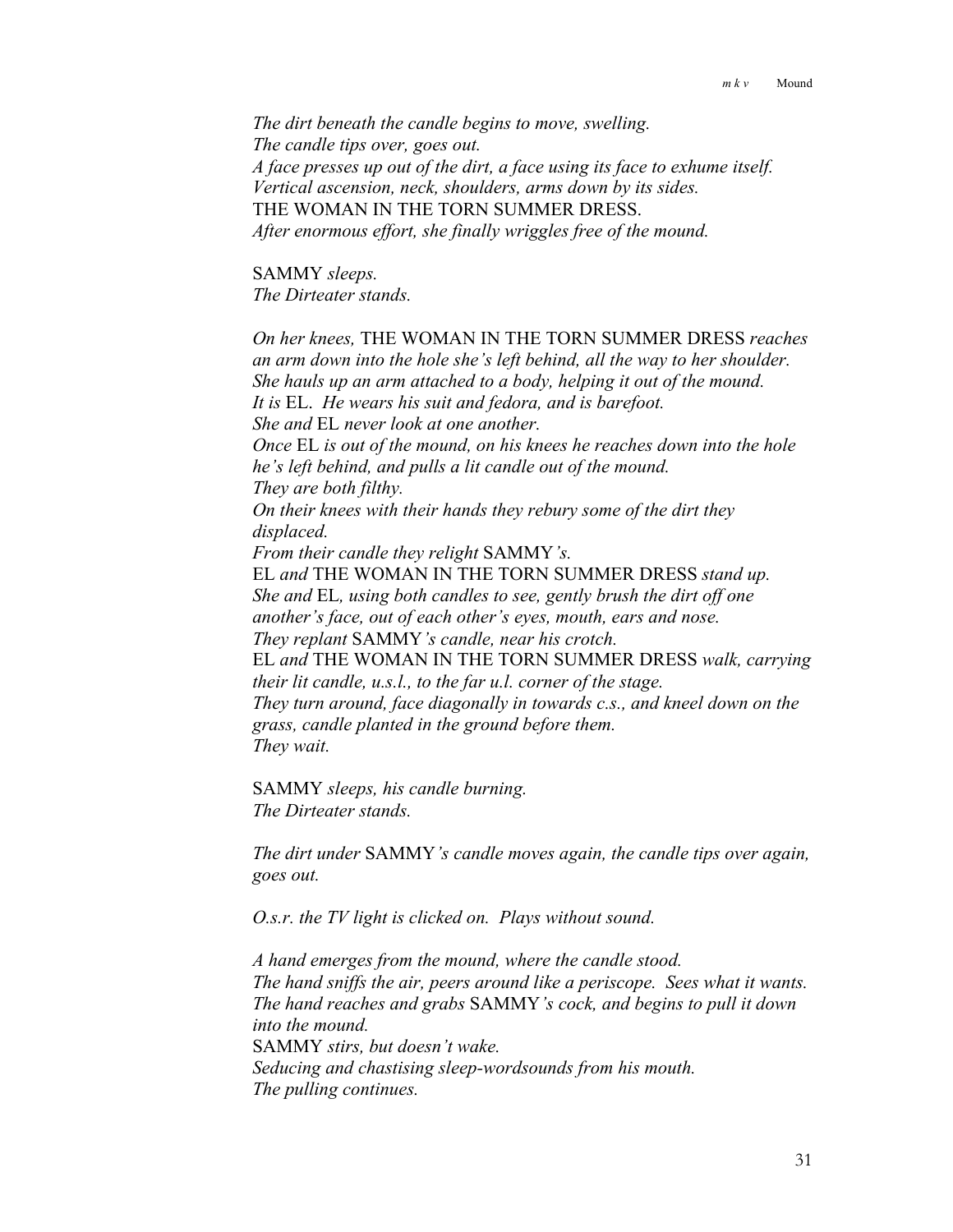*The dirt beneath the candle begins to move, swelling. The candle tips over, goes out. A face presses up out of the dirt, a face using its face to exhume itself. Vertical ascension, neck, shoulders, arms down by its sides.* THE WOMAN IN THE TORN SUMMER DRESS. *After enormous effort, she finally wriggles free of the mound.*

SAMMY *sleeps. The Dirteater stands.*

*On her knees,* THE WOMAN IN THE TORN SUMMER DRESS *reaches an arm down into the hole she's left behind, all the way to her shoulder. She hauls up an arm attached to a body, helping it out of the mound. It is* EL. *He wears his suit and fedora, and is barefoot. She and* EL *never look at one another. Once* EL *is out of the mound, on his knees he reaches down into the hole he's left behind, and pulls a lit candle out of the mound. They are both filthy. On their knees with their hands they rebury some of the dirt they displaced. From their candle they relight* SAMMY*'s.* EL *and* THE WOMAN IN THE TORN SUMMER DRESS *stand up. She and* EL*, using both candles to see, gently brush the dirt off one another's face, out of each other's eyes, mouth, ears and nose. They replant* SAMMY*'s candle, near his crotch.* EL *and* THE WOMAN IN THE TORN SUMMER DRESS *walk, carrying their lit candle, u.s.l., to the far u.l. corner of the stage. They turn around, face diagonally in towards c.s., and kneel down on the grass, candle planted in the ground before them. They wait.*

SAMMY *sleeps, his candle burning. The Dirteater stands.*

*The dirt under* SAMMY*'s candle moves again, the candle tips over again, goes out.*

*O.s.r. the TV light is clicked on. Plays without sound.*

*A hand emerges from the mound, where the candle stood. The hand sniffs the air, peers around like a periscope. Sees what it wants. The hand reaches and grabs* SAMMY*'s cock, and begins to pull it down into the mound.* SAMMY *stirs, but doesn't wake. Seducing and chastising sleep-wordsounds from his mouth. The pulling continues.*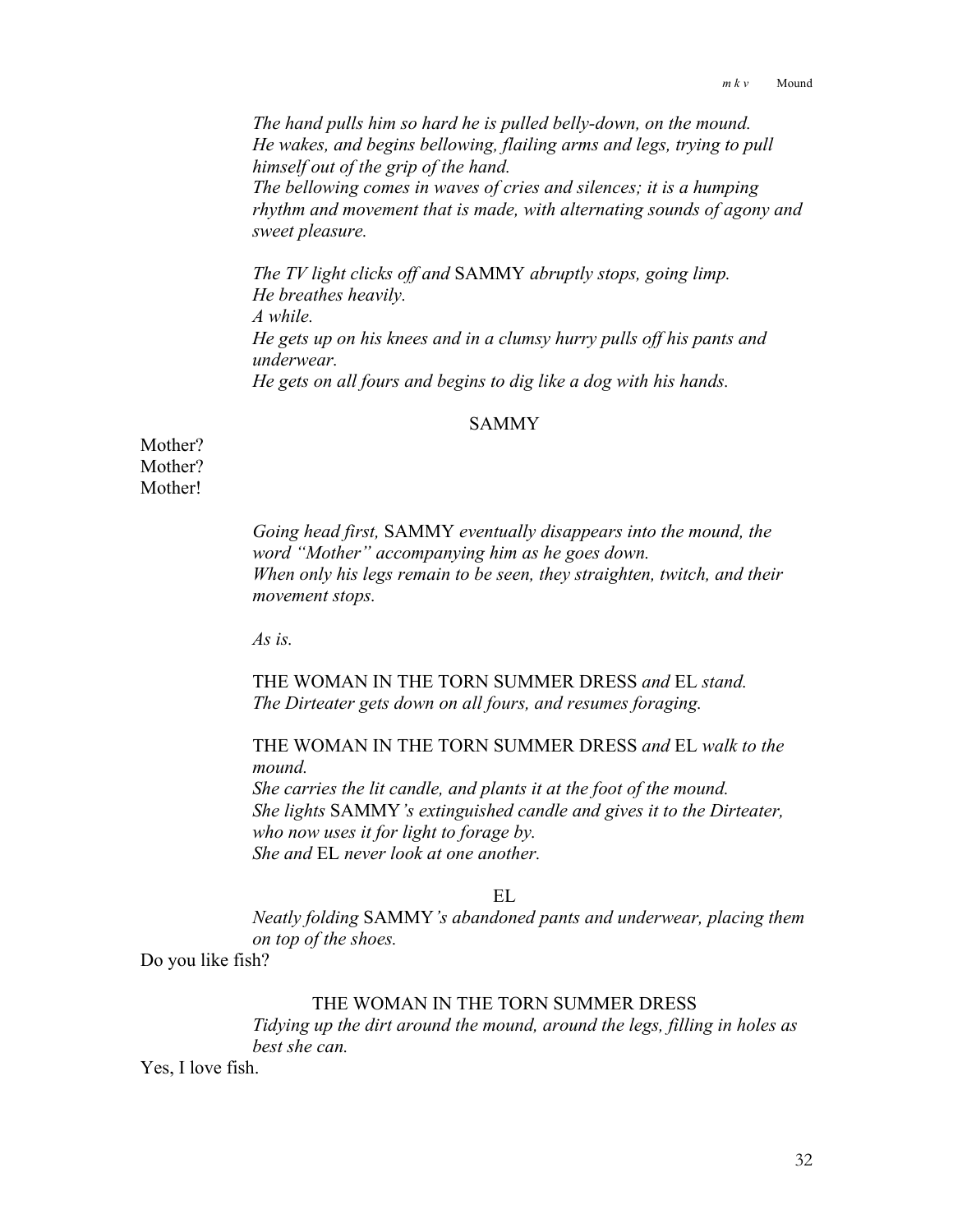*The hand pulls him so hard he is pulled belly-down, on the mound. He wakes, and begins bellowing, flailing arms and legs, trying to pull himself out of the grip of the hand. The bellowing comes in waves of cries and silences; it is a humping* 

*rhythm and movement that is made, with alternating sounds of agony and sweet pleasure.* 

*The TV light clicks off and* SAMMY *abruptly stops, going limp. He breathes heavily. A while. He gets up on his knees and in a clumsy hurry pulls off his pants and underwear. He gets on all fours and begins to dig like a dog with his hands.*

### SAMMY

Mother? Mother? Mother!

> *Going head first,* SAMMY *eventually disappears into the mound, the word "Mother" accompanying him as he goes down. When only his legs remain to be seen, they straighten, twitch, and their movement stops.*

*As is.*

THE WOMAN IN THE TORN SUMMER DRESS *and* EL *stand. The Dirteater gets down on all fours, and resumes foraging.*

THE WOMAN IN THE TORN SUMMER DRESS *and* EL *walk to the mound.*

*She carries the lit candle, and plants it at the foot of the mound. She lights* SAMMY*'s extinguished candle and gives it to the Dirteater, who now uses it for light to forage by. She and* EL *never look at one another.* 

EL

*Neatly folding* SAMMY*'s abandoned pants and underwear, placing them on top of the shoes.*

Do you like fish?

### THE WOMAN IN THE TORN SUMMER DRESS

*Tidying up the dirt around the mound, around the legs, filling in holes as best she can.*

Yes, I love fish.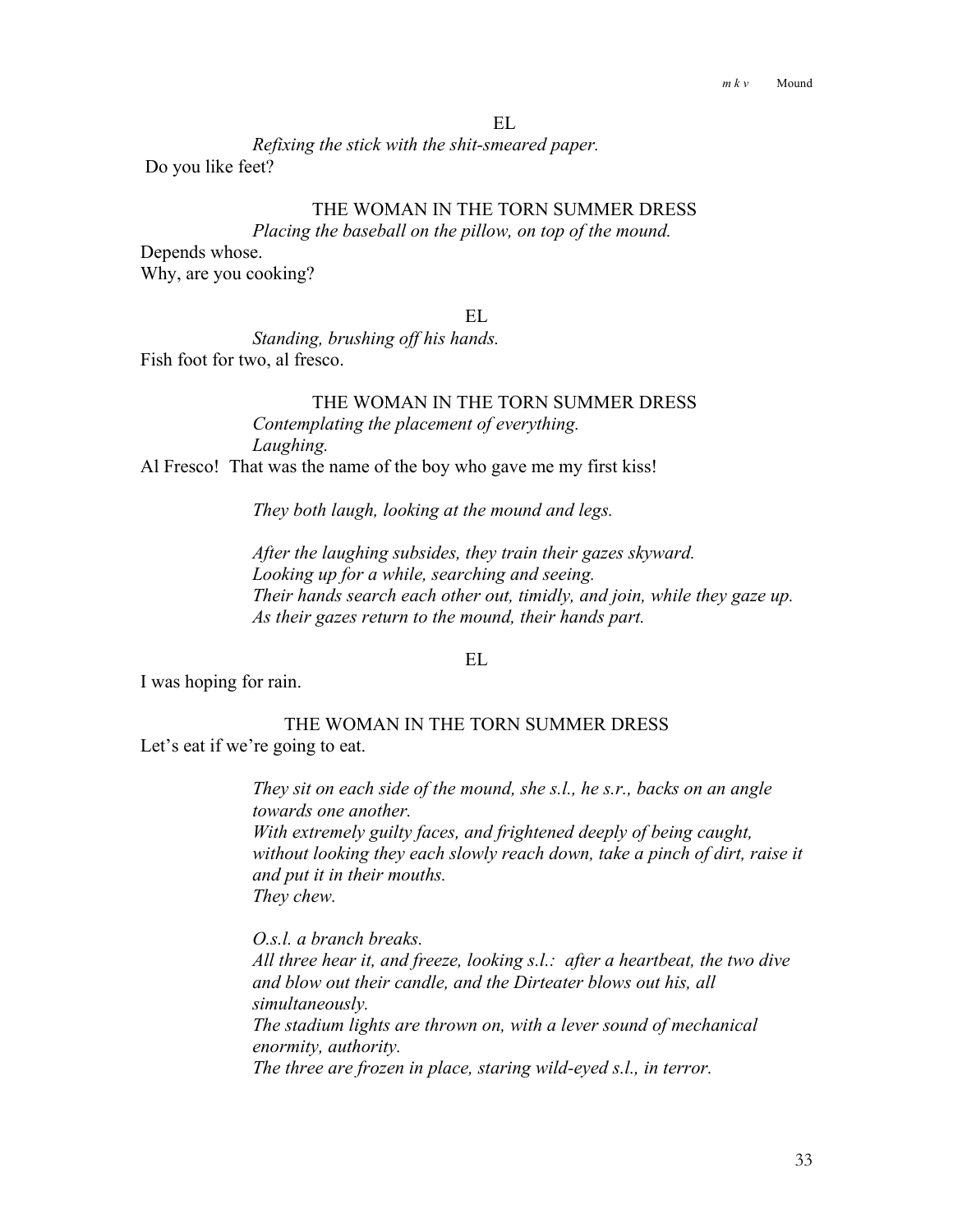EL

*Refixing the stick with the shit-smeared paper.* Do you like feet?

## THE WOMAN IN THE TORN SUMMER DRESS *Placing the baseball on the pillow, on top of the mound.*

Depends whose. Why, are you cooking?

EL

*Standing, brushing off his hands.* Fish foot for two, al fresco.

## THE WOMAN IN THE TORN SUMMER DRESS

*Contemplating the placement of everything. Laughing.* Al Fresco! That was the name of the boy who gave me my first kiss!

*They both laugh, looking at the mound and legs.*

*After the laughing subsides, they train their gazes skyward. Looking up for a while, searching and seeing. Their hands search each other out, timidly, and join, while they gaze up. As their gazes return to the mound, their hands part.*

EL

I was hoping for rain.

THE WOMAN IN THE TORN SUMMER DRESS Let's eat if we're going to eat.

> *They sit on each side of the mound, she s.l., he s.r., backs on an angle towards one another. With extremely guilty faces, and frightened deeply of being caught, without looking they each slowly reach down, take a pinch of dirt, raise it and put it in their mouths. They chew.*

*O.s.l. a branch breaks. All three hear it, and freeze, looking s.l.: after a heartbeat, the two dive and blow out their candle, and the Dirteater blows out his, all simultaneously. The stadium lights are thrown on, with a lever sound of mechanical enormity, authority. The three are frozen in place, staring wild-eyed s.l., in terror.*